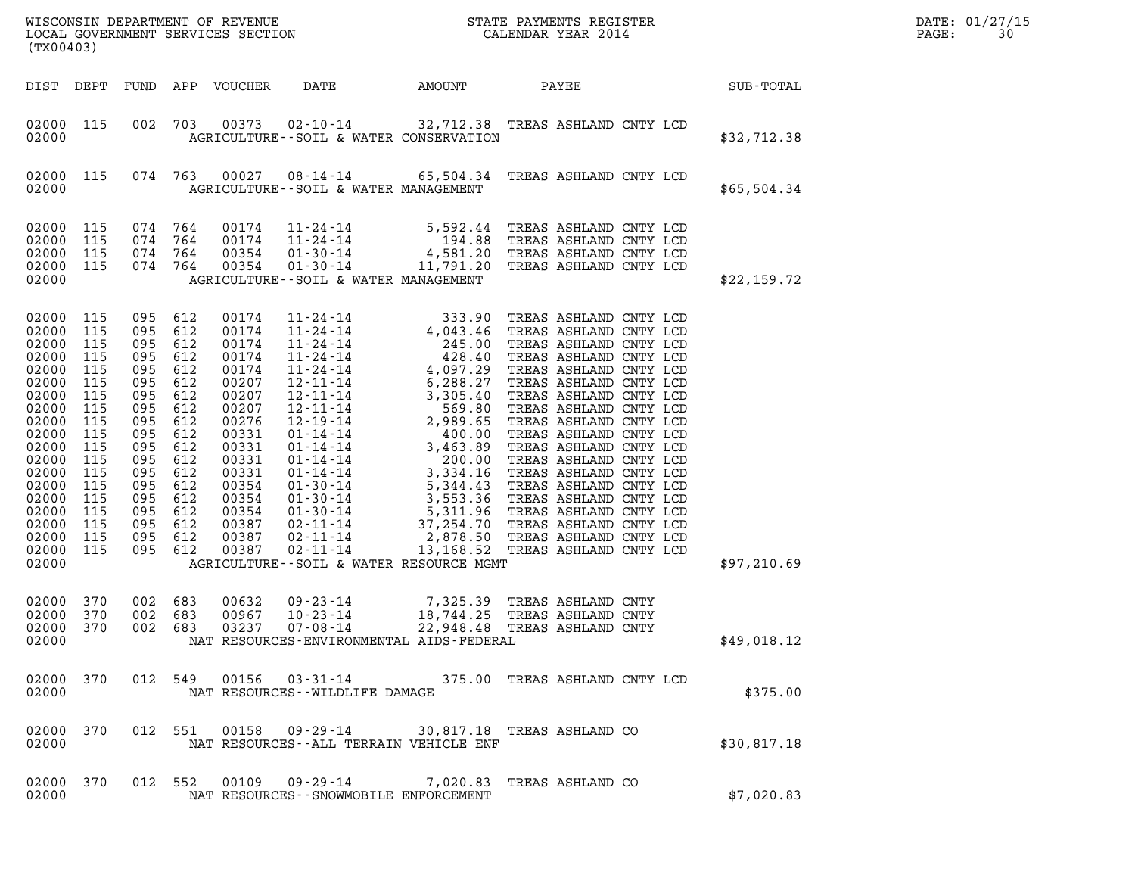| (TX00403)                                                                                                                                                                            |                                                                                                                            |                                                                                                                                                                   |                                                                           |                                                                                                                                                                         |                                   |                                                                                                                                                                                                                     |                                                             |             | DATE: 01/27/15<br>PAGE:<br>30 |
|--------------------------------------------------------------------------------------------------------------------------------------------------------------------------------------|----------------------------------------------------------------------------------------------------------------------------|-------------------------------------------------------------------------------------------------------------------------------------------------------------------|---------------------------------------------------------------------------|-------------------------------------------------------------------------------------------------------------------------------------------------------------------------|-----------------------------------|---------------------------------------------------------------------------------------------------------------------------------------------------------------------------------------------------------------------|-------------------------------------------------------------|-------------|-------------------------------|
|                                                                                                                                                                                      |                                                                                                                            |                                                                                                                                                                   |                                                                           | DIST DEPT FUND APP VOUCHER                                                                                                                                              | DATE                              | AMOUNT                                                                                                                                                                                                              | PAYEE                                                       | SUB-TOTAL   |                               |
| 02000 115<br>02000                                                                                                                                                                   |                                                                                                                            | 002                                                                                                                                                               | 703                                                                       |                                                                                                                                                                         |                                   | 00373  02-10-14  32,712.38  TREAS ASHLAND CNTY LCD<br>AGRICULTURE -- SOIL & WATER CONSERVATION                                                                                                                      |                                                             | \$32,712.38 |                               |
| 02000 115<br>02000                                                                                                                                                                   |                                                                                                                            | 074 763                                                                                                                                                           |                                                                           |                                                                                                                                                                         |                                   | 00027 08-14-14 65,504.34 TREAS ASHLAND CNTY LCD<br>AGRICULTURE--SOIL & WATER MANAGEMENT                                                                                                                             |                                                             | \$65,504.34 |                               |
| 02000 115<br>02000<br>02000<br>02000<br>02000                                                                                                                                        | 115<br>115<br>115                                                                                                          | 074 764<br>074 764<br>074 764<br>074 764                                                                                                                          |                                                                           | 00174<br>00174<br>00354<br>00354                                                                                                                                        |                                   | 11-24-14 5,592.44 TREAS ASHLAND CNTY LCD<br>11-24-14 194.88 TREAS ASHLAND CNTY LCD<br>01-30-14 4,581.20 TREAS ASHLAND CNTY LCD<br>01-30-14 11,791.20 TREAS ASHLAND CNTY LCD<br>AGRICULTURE--SOIL & WATER MANAGEMENT |                                                             | \$22,159.72 |                               |
| 02000<br>02000<br>02000<br>02000<br>02000<br>02000<br>02000<br>02000<br>02000<br>02000<br>02000<br>02000<br>02000<br>02000<br>02000<br>02000<br>02000<br>02000<br>02000 115<br>02000 | 115<br>115<br>115<br>115<br>115<br>115<br>115<br>115<br>115<br>115<br>115<br>115<br>115<br>115<br>115<br>115<br>115<br>115 | 095<br>095 612<br>095<br>095<br>095<br>095 612<br>095<br>095<br>095<br>095 612<br>095<br>095<br>095<br>095 612<br>095<br>095 612<br>095 612<br>095 612<br>095 612 | 612<br>612<br>612<br>612<br>612<br>612<br>612<br>612<br>612<br>612<br>612 | 00174<br>00174<br>00174<br>00174<br>00174<br>00207<br>00207<br>00207<br>00276<br>00331<br>00331<br>00331<br>00331<br>00354<br>00354<br>00354<br>00387<br>00387<br>00387 |                                   | AGRICULTURE--SOIL & WATER RESOURCE MGMT                                                                                                                                                                             |                                                             | \$97,210.69 |                               |
| 02000<br>02000<br>02000 370<br>02000                                                                                                                                                 | 370<br>370                                                                                                                 | 002<br>002 683                                                                                                                                                    | 683                                                                       | 00632<br>00967                                                                                                                                                          | $09 - 23 - 14$<br>$10 - 23 - 14$  | 002 683 03237 07-08-14 22,948.48 TREAS ASHLAND CNTY<br>NAT RESOURCES-ENVIRONMENTAL AIDS-FEDERAL                                                                                                                     | 7,325.39 TREAS ASHLAND CNTY<br>18,744.25 TREAS ASHLAND CNTY | \$49,018.12 |                               |
| 02000 370<br>02000                                                                                                                                                                   |                                                                                                                            |                                                                                                                                                                   |                                                                           |                                                                                                                                                                         | NAT RESOURCES - - WILDLIFE DAMAGE | 012 549 00156 03-31-14 375.00 TREAS ASHLAND CNTY LCD                                                                                                                                                                |                                                             | \$375.00    |                               |
| 02000 370<br>02000                                                                                                                                                                   |                                                                                                                            |                                                                                                                                                                   |                                                                           |                                                                                                                                                                         |                                   | 012 551 00158 09-29-14 30,817.18 TREAS ASHLAND CO<br>NAT RESOURCES--ALL TERRAIN VEHICLE ENF                                                                                                                         |                                                             | \$30,817.18 |                               |
| 02000 370<br>02000                                                                                                                                                                   |                                                                                                                            |                                                                                                                                                                   |                                                                           |                                                                                                                                                                         |                                   | 012 552 00109 09-29-14 7,020.83 TREAS ASHLAND CO<br>NAT RESOURCES - - SNOWMOBILE ENFORCEMENT                                                                                                                        |                                                             | \$7,020.83  |                               |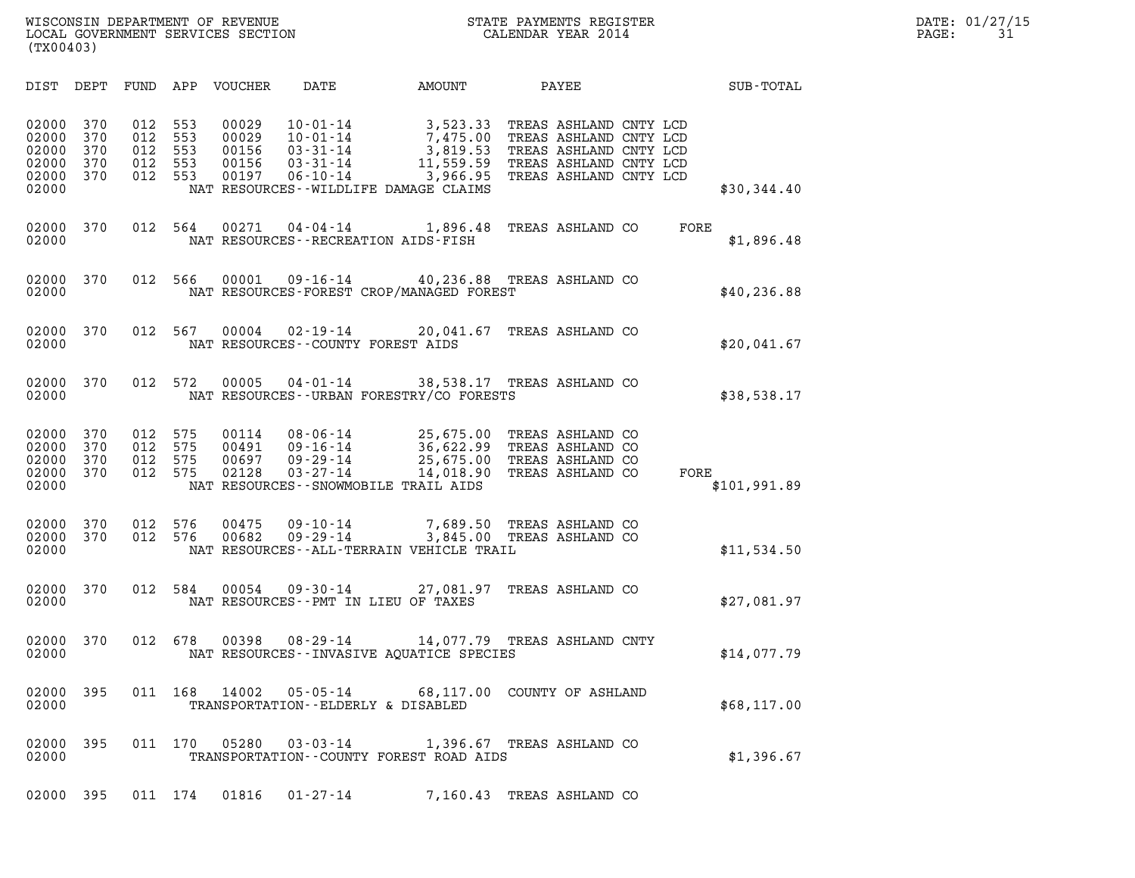| (TX00403)                                          |                                 |                                 |                                 |                                           |                                                                                        |                                                                                                    |                                                                                                                                |      |              |
|----------------------------------------------------|---------------------------------|---------------------------------|---------------------------------|-------------------------------------------|----------------------------------------------------------------------------------------|----------------------------------------------------------------------------------------------------|--------------------------------------------------------------------------------------------------------------------------------|------|--------------|
| DIST                                               | DEPT                            | FUND                            | APP                             | VOUCHER                                   | DATE                                                                                   | AMOUNT                                                                                             | PAYEE                                                                                                                          |      | SUB-TOTAL    |
| 02000<br>02000<br>02000<br>02000<br>02000<br>02000 | 370<br>370<br>370<br>370<br>370 | 012<br>012<br>012<br>012<br>012 | 553<br>553<br>553<br>553<br>553 | 00029<br>00029<br>00156<br>00156<br>00197 | $10 - 01 - 14$<br>$10 - 01 - 14$<br>$03 - 31 - 14$<br>$03 - 31 - 14$<br>$06 - 10 - 14$ | 3,523.33<br>7,475.00<br>3,819.53<br>11,559.59<br>3,966.95<br>NAT RESOURCES--WILDLIFE DAMAGE CLAIMS | TREAS ASHLAND CNTY LCD<br>TREAS ASHLAND CNTY LCD<br>TREAS ASHLAND CNTY LCD<br>TREAS ASHLAND CNTY LCD<br>TREAS ASHLAND CNTY LCD |      | \$30,344.40  |
| 02000<br>02000                                     | 370                             | 012                             | 564                             | 00271                                     | $04 - 04 - 14$                                                                         | 1,896.48<br>NAT RESOURCES - - RECREATION AIDS - FISH                                               | TREAS ASHLAND CO                                                                                                               | FORE | \$1,896.48   |
| 02000<br>02000                                     | 370                             | 012                             | 566                             | 00001                                     |                                                                                        | 09-16-14 40,236.88 TREAS ASHLAND CO<br>NAT RESOURCES-FOREST CROP/MANAGED FOREST                    |                                                                                                                                |      | \$40, 236.88 |
| 02000<br>02000                                     | 370                             | 012                             | 567                             | 00004                                     | $02 - 19 - 14$<br>NAT RESOURCES--COUNTY FOREST AIDS                                    | 20,041.67                                                                                          | TREAS ASHLAND CO                                                                                                               |      | \$20,041.67  |
| 02000<br>02000                                     | 370                             | 012                             | 572                             | 00005                                     | $04 - 01 - 14$                                                                         | NAT RESOURCES--URBAN FORESTRY/CO FORESTS                                                           | 38,538.17 TREAS ASHLAND CO                                                                                                     |      | \$38,538.17  |
| 02000<br>02000<br>02000<br>02000<br>02000          | 370<br>370<br>370<br>370        | 012<br>012<br>012<br>012        | 575<br>575<br>575<br>575        | 00114<br>00491<br>00697<br>02128          | $08 - 06 - 14$<br>$09 - 16 - 14$<br>$09 - 29 - 14$<br>$03 - 27 - 14$                   | 25,675.00<br>36,622.99<br>14,018.90<br>NAT RESOURCES - - SNOWMOBILE TRAIL AIDS                     | TREAS ASHLAND CO<br>TREAS ASHLAND CO<br>25,675.00 TREAS ASHLAND CO<br>TREAS ASHLAND CO                                         | FORE | \$101,991.89 |
| 02000<br>02000<br>02000                            | 370<br>370                      | 012<br>012                      | 576<br>576                      | 00475<br>00682                            | $09 - 10 - 14$<br>$09 - 29 - 14$                                                       | 7,689.50<br>3,845.00<br>NAT RESOURCES--ALL-TERRAIN VEHICLE TRAIL                                   | TREAS ASHLAND CO<br>TREAS ASHLAND CO                                                                                           |      | \$11,534.50  |
| 02000<br>02000                                     | 370                             | 012                             | 584                             | 00054                                     | $09 - 30 - 14$                                                                         | 27,081.97<br>NAT RESOURCES -- PMT IN LIEU OF TAXES                                                 | TREAS ASHLAND CO                                                                                                               |      | \$27,081.97  |
| 02000<br>02000                                     | 370                             | 012                             | 678                             | 00398                                     | $08 - 29 - 14$                                                                         | 14,077.79 TREAS ASHLAND CNTY<br>NAT RESOURCES -- INVASIVE AQUATICE SPECIES                         |                                                                                                                                |      | \$14,077.79  |
| 02000<br>02000                                     | 395                             |                                 |                                 |                                           |                                                                                        | 011 168 14002 05-05-14 68,117.00 COUNTY OF ASHLAND<br>TRANSPORTATION--ELDERLY & DISABLED           |                                                                                                                                |      | \$68,117.00  |
| 02000<br>02000                                     | 395                             | 011 170                         |                                 | 05280                                     | $03 - 03 - 14$                                                                         | TRANSPORTATION--COUNTY FOREST ROAD AIDS                                                            | 1,396.67 TREAS ASHLAND CO                                                                                                      |      | \$1,396.67   |
| 02000                                              | 395                             | 011 174                         |                                 | 01816                                     | $01 - 27 - 14$                                                                         |                                                                                                    | 7,160.43 TREAS ASHLAND CO                                                                                                      |      |              |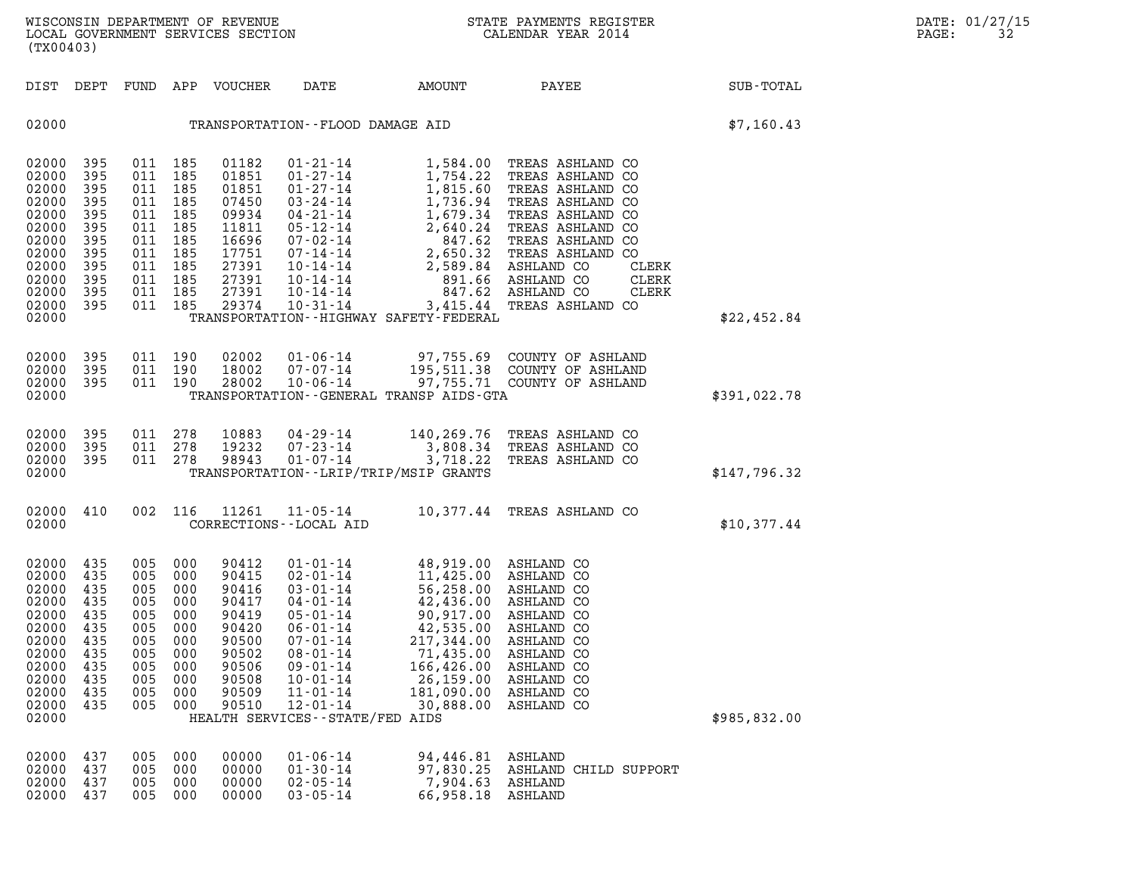| (TX00403)                                                                                                             |                                                                                  |                                                                                                                       |                                                                                   |                                                                                                          |                                                                                                                                                                                                                                                                                                                                                                   |                                                                                                                                                |                                                                                                                                                                                                                                                                         |              | DATE: 01/27/15<br>PAGE:<br>32 |
|-----------------------------------------------------------------------------------------------------------------------|----------------------------------------------------------------------------------|-----------------------------------------------------------------------------------------------------------------------|-----------------------------------------------------------------------------------|----------------------------------------------------------------------------------------------------------|-------------------------------------------------------------------------------------------------------------------------------------------------------------------------------------------------------------------------------------------------------------------------------------------------------------------------------------------------------------------|------------------------------------------------------------------------------------------------------------------------------------------------|-------------------------------------------------------------------------------------------------------------------------------------------------------------------------------------------------------------------------------------------------------------------------|--------------|-------------------------------|
| DIST DEPT                                                                                                             |                                                                                  |                                                                                                                       |                                                                                   | FUND APP VOUCHER                                                                                         | DATE                                                                                                                                                                                                                                                                                                                                                              | AMOUNT                                                                                                                                         | PAYEE                                                                                                                                                                                                                                                                   | SUB-TOTAL    |                               |
| 02000                                                                                                                 |                                                                                  |                                                                                                                       |                                                                                   |                                                                                                          | TRANSPORTATION--FLOOD DAMAGE AID                                                                                                                                                                                                                                                                                                                                  |                                                                                                                                                |                                                                                                                                                                                                                                                                         | \$7,160.43   |                               |
| 02000<br>02000<br>02000<br>02000<br>02000<br>02000<br>02000<br>02000<br>02000<br>02000<br>02000<br>02000<br>02000     | 395<br>395<br>395<br>395<br>395<br>395<br>395<br>395<br>395<br>395<br>395<br>395 | 011 185<br>011 185<br>011 185<br>011 185<br>011 185<br>011 185<br>011 185<br>011 185<br>011 185<br>011 185<br>011 185 | 011 185                                                                           | 01182<br>01851<br>01851<br>07450<br>09934<br>11811<br>16696<br>17751<br>27391<br>27391<br>27391<br>29374 | 01-21-14<br>$01 - 27 - 14$<br>$01-27-14$<br>$03-24-14$<br>$04-21-14$<br>$05-12-14$<br>$07-02-14$<br>$07-14-14$<br>$1,736.94$<br>$1,736.94$<br>$1,736.94$<br>$1,736.94$<br>$1,736.94$<br>$1,736.94$<br>$1,736.94$<br>$1,736.94$<br>$1,736.94$<br>$2,640.24$<br>$847.62$<br>$847.62$<br>$10-14-14$<br>$10 - 31 - 14$<br>TRANSPORTATION - - HIGHWAY SAFETY - FEDERAL | 1,754.22                                                                                                                                       | 1,584.00 TREAS ASHLAND CO<br>TREAS ASHLAND CO<br>TREAS ASHLAND CO<br>TREAS ASHLAND CO<br>TREAS ASHLAND CO<br>TREAS ASHLAND CO<br>TREAS ASHLAND CO<br>TREAS ASHLAND CO<br>ASHLAND CO<br>CLERK<br>ASHLAND CO<br>CLERK<br>ASHLAND CO<br>CLERK<br>3,415.44 TREAS ASHLAND CO | \$22,452.84  |                               |
|                                                                                                                       |                                                                                  |                                                                                                                       |                                                                                   |                                                                                                          |                                                                                                                                                                                                                                                                                                                                                                   |                                                                                                                                                |                                                                                                                                                                                                                                                                         |              |                               |
| 02000<br>02000<br>02000<br>02000                                                                                      | 395<br>395<br>395                                                                | 011 190                                                                                                               | 011 190<br>011 190                                                                | 02002<br>18002<br>28002                                                                                  | $01 - 06 - 14$<br>07-07-14<br>10-06-14<br>TRANSPORTATION - - GENERAL TRANSP AIDS - GTA                                                                                                                                                                                                                                                                            |                                                                                                                                                | 97,755.69 COUNTY OF ASHLAND<br>195,511.38 COUNTY OF ASHLAND<br>97,755.71 COUNTY OF ASHLAND                                                                                                                                                                              | \$391,022.78 |                               |
| 02000<br>02000<br>02000<br>02000                                                                                      | - 395<br>395<br>395                                                              | 011 278                                                                                                               | 011 278<br>011 278                                                                | 10883<br>19232<br>98943                                                                                  | 04-29-14<br>07-23-14<br>$01 - 07 - 14$<br>TRANSPORTATION - - LRIP/TRIP/MSIP GRANTS                                                                                                                                                                                                                                                                                | 3,808.34<br>3,718.22                                                                                                                           | 140,269.76 TREAS ASHLAND CO<br>TREAS ASHLAND CO<br>TREAS ASHLAND CO                                                                                                                                                                                                     | \$147,796.32 |                               |
| 02000 410<br>02000                                                                                                    |                                                                                  |                                                                                                                       | 002 116                                                                           | 11261                                                                                                    | 11-05-14<br>CORRECTIONS - - LOCAL AID                                                                                                                                                                                                                                                                                                                             |                                                                                                                                                | 10,377.44 TREAS ASHLAND CO                                                                                                                                                                                                                                              | \$10,377.44  |                               |
| 02000 435<br>02000<br>02000<br>02000<br>02000<br>02000<br>02000<br>02000<br>02000<br>02000<br>02000<br>02000<br>02000 | 435<br>435<br>435<br>-435<br>435<br>435<br>435<br>435<br>435<br>435<br>435       | 005 000<br>005<br>005<br>005<br>005<br>005<br>005<br>005<br>005<br>005                                                | 005 000<br>000<br>000<br>005 000<br>000<br>000<br>000<br>000<br>000<br>000<br>000 | 90412<br>90415<br>90416<br>90417<br>90419<br>90420<br>90500<br>90502<br>90506<br>90508<br>90509<br>90510 | $01 - 01 - 14$<br>02-01-14<br>03-01-14<br>04-01-14<br>$05 - 01 - 14$<br>$06 - 01 - 14$<br>$07 - 01 - 14$<br>$08 - 01 - 14$<br>$09 - 01 - 14$<br>$10 - 01 - 14$<br>$11 - 01 - 14$<br>$12 - 01 - 14$<br>HEALTH SERVICES--STATE/FED AIDS                                                                                                                             | 11,425.00<br>56,258.00<br>42,436.00<br>90,917.00<br>42,535.00<br>217,344.00<br>71,435.00<br>166,426.00<br>26,159.00<br>181,090.00<br>30,888.00 | 48,919.00 ASHLAND CO<br>ASHLAND CO<br>ASHLAND CO<br>ASHLAND CO<br>ASHLAND CO<br>ASHLAND CO<br>ASHLAND CO<br>ASHLAND CO<br>ASHLAND CO<br>ASHLAND CO<br>ASHLAND CO<br>ASHLAND CO                                                                                          | \$985,832.00 |                               |
| 02000<br>02000 437                                                                                                    | 437                                                                              | 005                                                                                                                   | 000<br>005 000                                                                    | 00000<br>00000                                                                                           | $01 - 06 - 14$<br>$01 - 30 - 14$                                                                                                                                                                                                                                                                                                                                  | 94,446.81 ASHLAND                                                                                                                              | 97.830.25 ASHLAND CHILD SUPPORT                                                                                                                                                                                                                                         |              |                               |

| 02000<br>437 | 005 000 | 00000 | $01 - 06 - 14$ | 94,446.81 ASHLAND               |  |  |
|--------------|---------|-------|----------------|---------------------------------|--|--|
| 02000<br>437 | 005 000 | 00000 | $01 - 30 - 14$ | 97,830.25 ASHLAND CHILD SUPPORT |  |  |
| 02000<br>437 | 005 000 | 00000 | $02 - 05 - 14$ | 7,904.63 ASHLAND                |  |  |
| 02000<br>437 | 005 000 | 00000 | $03 - 05 - 14$ | 66.958.18 ASHLAND               |  |  |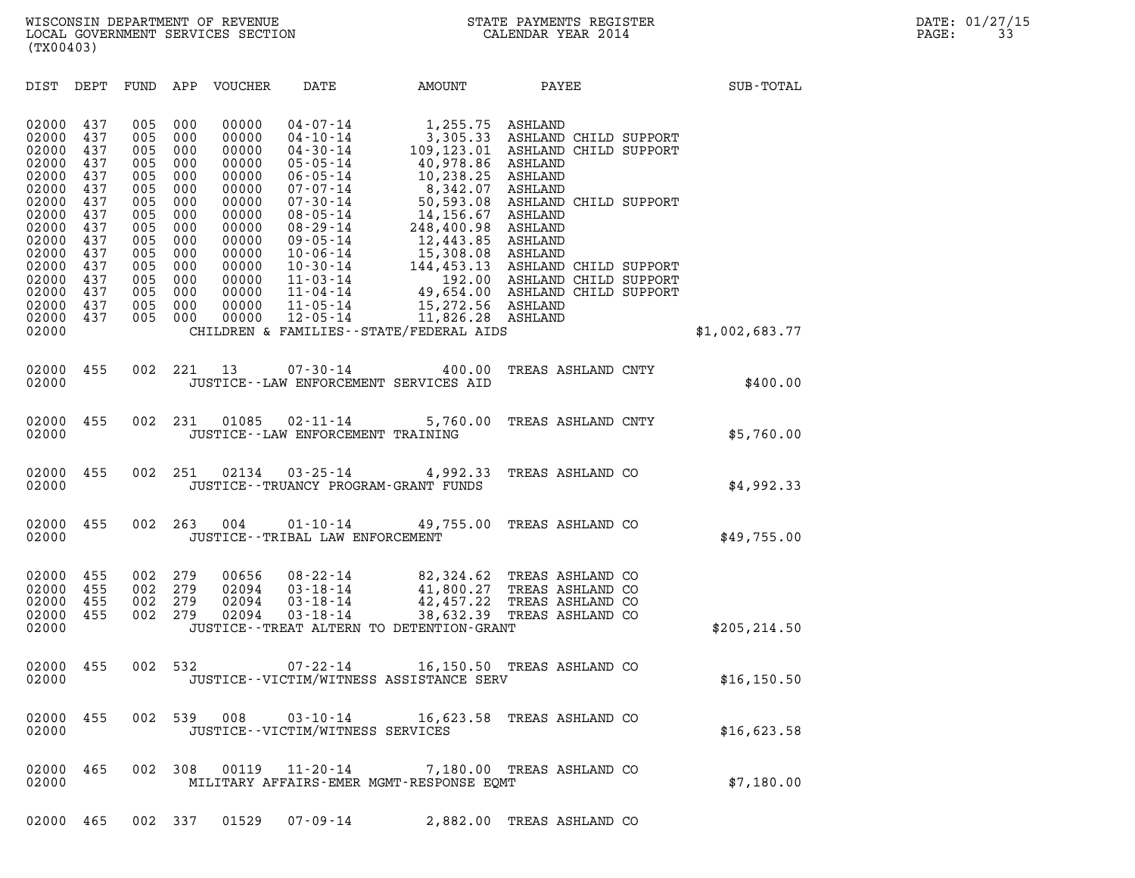(TX00403)

| (TX00403)                                                                                                                                                                                                                                                             |                                                                                                              |                                                                                                              |                                                                                                                                              |                                                                                                                                                                                                                                                                                              |                                                                                                                                                                                                                                 |                                                                                                                                                                                                                                                                           |                |  |
|-----------------------------------------------------------------------------------------------------------------------------------------------------------------------------------------------------------------------------------------------------------------------|--------------------------------------------------------------------------------------------------------------|--------------------------------------------------------------------------------------------------------------|----------------------------------------------------------------------------------------------------------------------------------------------|----------------------------------------------------------------------------------------------------------------------------------------------------------------------------------------------------------------------------------------------------------------------------------------------|---------------------------------------------------------------------------------------------------------------------------------------------------------------------------------------------------------------------------------|---------------------------------------------------------------------------------------------------------------------------------------------------------------------------------------------------------------------------------------------------------------------------|----------------|--|
| DIST<br>DEPT                                                                                                                                                                                                                                                          | FUND                                                                                                         | APP                                                                                                          | VOUCHER                                                                                                                                      | DATE                                                                                                                                                                                                                                                                                         | AMOUNT                                                                                                                                                                                                                          | PAYEE                                                                                                                                                                                                                                                                     | SUB-TOTAL      |  |
| 02000<br>437<br>02000<br>437<br>02000<br>437<br>02000<br>437<br>02000<br>437<br>02000<br>437<br>02000<br>437<br>02000<br>437<br>02000<br>437<br>02000<br>437<br>02000<br>437<br>02000<br>437<br>02000<br>437<br>02000<br>437<br>02000<br>437<br>437<br>02000<br>02000 | 005<br>005<br>005<br>005<br>005<br>005<br>005<br>005<br>005<br>005<br>005<br>005<br>005<br>005<br>005<br>005 | 000<br>000<br>000<br>000<br>000<br>000<br>000<br>000<br>000<br>000<br>000<br>000<br>000<br>000<br>000<br>000 | 00000<br>00000<br>00000<br>00000<br>00000<br>00000<br>00000<br>00000<br>00000<br>00000<br>00000<br>00000<br>00000<br>00000<br>00000<br>00000 | $04 - 07 - 14$<br>$04 - 10 - 14$<br>$04 - 30 - 14$<br>$05 - 05 - 14$<br>$06 - 05 - 14$<br>$07 - 07 - 14$<br>$07 - 30 - 14$<br>$08 - 05 - 14$<br>$08 - 29 - 14$<br>$09 - 05 - 14$<br>$10 - 06 - 14$<br>$10 - 30 - 14$<br>$11 - 03 - 14$<br>$11 - 04 - 14$<br>$11 - 05 - 14$<br>$12 - 05 - 14$ | 1,255.75<br>40,978.86<br>10,238.25<br>8,342.07<br>50,593.08<br>14,156.67<br>248,400.98<br>12,443.85<br>15,308.08<br>192.00<br>49,654.00<br>15,272.56 ASHLAND<br>11,826.28 ASHLAND<br>CHILDREN & FAMILIES - - STATE/FEDERAL AIDS | ASHLAND<br>3,305.33 ASHLAND CHILD SUPPORT<br>109,123.01 ASHLAND CHILD SUPPORT<br>ASHLAND<br>ASHLAND<br>ASHLAND<br>ASHLAND CHILD SUPPORT<br>ASHLAND<br>ASHLAND<br>ASHLAND<br>ASHLAND<br>144,453.13 ASHLAND CHILD SUPPORT<br>ASHLAND CHILD SUPPORT<br>ASHLAND CHILD SUPPORT | \$1,002,683.77 |  |
| 02000<br>455<br>02000                                                                                                                                                                                                                                                 | 002                                                                                                          | 221                                                                                                          | 13                                                                                                                                           | $07 - 30 - 14$                                                                                                                                                                                                                                                                               | 400.00<br>JUSTICE -- LAW ENFORCEMENT SERVICES AID                                                                                                                                                                               | TREAS ASHLAND CNTY                                                                                                                                                                                                                                                        | \$400.00       |  |
| 02000<br>455<br>02000                                                                                                                                                                                                                                                 | 002                                                                                                          | 231                                                                                                          | 01085                                                                                                                                        | $02 - 11 - 14$<br>JUSTICE - - LAW ENFORCEMENT TRAINING                                                                                                                                                                                                                                       | 5,760.00                                                                                                                                                                                                                        | TREAS ASHLAND CNTY                                                                                                                                                                                                                                                        | \$5,760.00     |  |
| 02000<br>455<br>02000                                                                                                                                                                                                                                                 | 002                                                                                                          | 251                                                                                                          | 02134                                                                                                                                        | $03 - 25 - 14$<br>JUSTICE - - TRUANCY PROGRAM - GRANT FUNDS                                                                                                                                                                                                                                  | 4,992.33                                                                                                                                                                                                                        | TREAS ASHLAND CO                                                                                                                                                                                                                                                          | \$4,992.33     |  |
| 02000<br>455<br>02000                                                                                                                                                                                                                                                 | 002                                                                                                          | 263                                                                                                          | 004                                                                                                                                          | $01 - 10 - 14$<br>JUSTICE - - TRIBAL LAW ENFORCEMENT                                                                                                                                                                                                                                         | 49,755.00                                                                                                                                                                                                                       | TREAS ASHLAND CO                                                                                                                                                                                                                                                          | \$49,755.00    |  |
| 02000<br>455<br>02000<br>455<br>02000<br>455<br>02000<br>455<br>02000                                                                                                                                                                                                 | 002<br>002<br>002<br>002                                                                                     | 279<br>279<br>279<br>279                                                                                     | 00656<br>02094<br>02094<br>02094                                                                                                             | $08 - 22 - 14$<br>$03 - 18 - 14$<br>$03 - 18 - 14$<br>$03 - 18 - 14$                                                                                                                                                                                                                         | 41,800.27<br>42,457.22<br>38,632.39<br>JUSTICE - TREAT ALTERN TO DETENTION - GRANT                                                                                                                                              | 82,324.62 TREAS ASHLAND CO<br>TREAS ASHLAND CO<br>TREAS ASHLAND CO<br>TREAS ASHLAND CO                                                                                                                                                                                    | \$205, 214.50  |  |
| 02000<br>455<br>02000                                                                                                                                                                                                                                                 | 002                                                                                                          | 532                                                                                                          |                                                                                                                                              | 07-22-14                                                                                                                                                                                                                                                                                     | 16,150.50<br>JUSTICE -- VICTIM/WITNESS ASSISTANCE SERV                                                                                                                                                                          | TREAS ASHLAND CO                                                                                                                                                                                                                                                          | \$16, 150.50   |  |
| 02000<br>455<br>02000                                                                                                                                                                                                                                                 | 002                                                                                                          | 539                                                                                                          | 008                                                                                                                                          | $03 - 10 - 14$<br>JUSTICE - - VICTIM/WITNESS SERVICES                                                                                                                                                                                                                                        |                                                                                                                                                                                                                                 | 16,623.58 TREAS ASHLAND CO                                                                                                                                                                                                                                                | \$16,623.58    |  |
| 02000<br>465<br>02000                                                                                                                                                                                                                                                 | 002                                                                                                          | 308                                                                                                          | 00119                                                                                                                                        | $11 - 20 - 14$                                                                                                                                                                                                                                                                               | MILITARY AFFAIRS-EMER MGMT-RESPONSE EQMT                                                                                                                                                                                        | 7,180.00 TREAS ASHLAND CO                                                                                                                                                                                                                                                 | \$7,180.00     |  |
| 02000 465                                                                                                                                                                                                                                                             |                                                                                                              | 002 337                                                                                                      | 01529                                                                                                                                        | $07 - 09 - 14$                                                                                                                                                                                                                                                                               |                                                                                                                                                                                                                                 | 2,882.00 TREAS ASHLAND CO                                                                                                                                                                                                                                                 |                |  |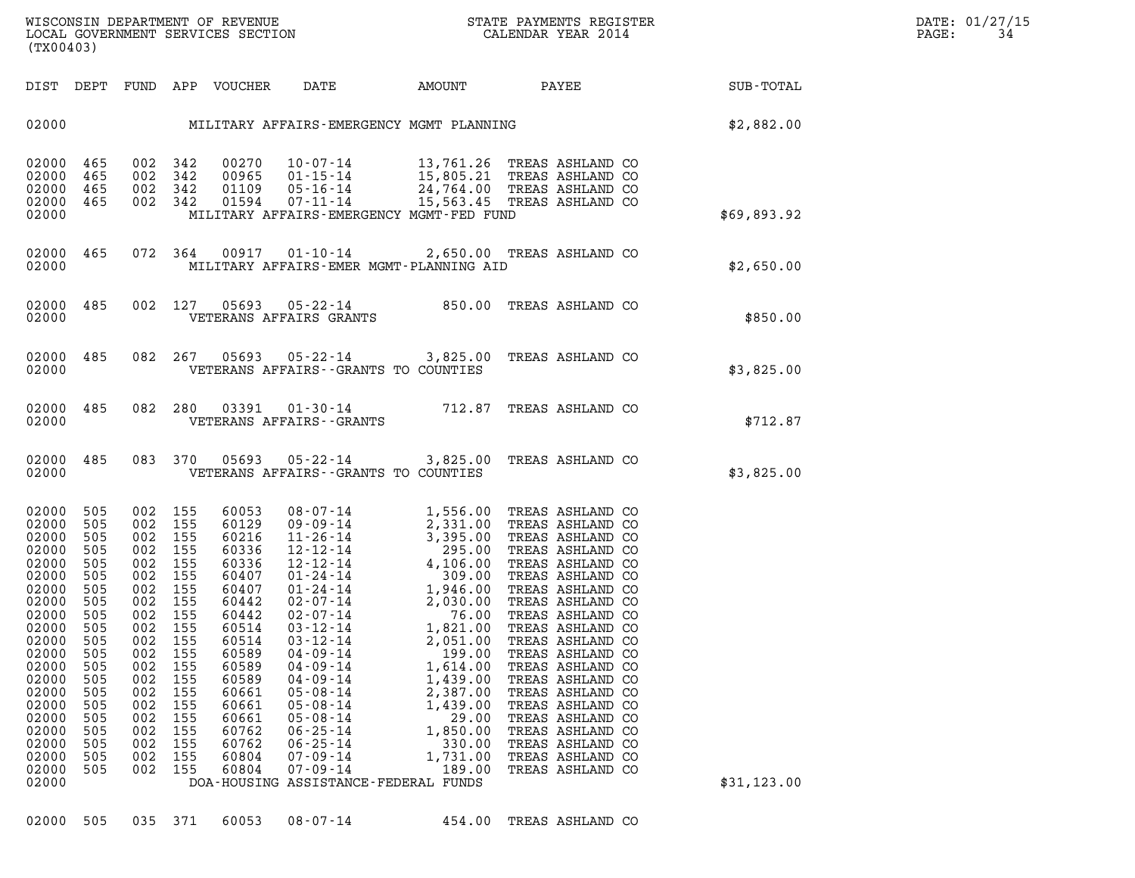| (TX00403)                                                                                                                                                                                          |                                                                                                                                                 |                                                                                                                                                 |                                                                                                                                                 |                                                                                                                                                                                           |                                                                                                                                                                                                                                                                                                                                                                                                                                |                                                                                                                                                                                                                                                                                                                                                                                                                                                              |                                                                                                                                                                                                                                                                                                                                                                                                                                  |              |
|----------------------------------------------------------------------------------------------------------------------------------------------------------------------------------------------------|-------------------------------------------------------------------------------------------------------------------------------------------------|-------------------------------------------------------------------------------------------------------------------------------------------------|-------------------------------------------------------------------------------------------------------------------------------------------------|-------------------------------------------------------------------------------------------------------------------------------------------------------------------------------------------|--------------------------------------------------------------------------------------------------------------------------------------------------------------------------------------------------------------------------------------------------------------------------------------------------------------------------------------------------------------------------------------------------------------------------------|--------------------------------------------------------------------------------------------------------------------------------------------------------------------------------------------------------------------------------------------------------------------------------------------------------------------------------------------------------------------------------------------------------------------------------------------------------------|----------------------------------------------------------------------------------------------------------------------------------------------------------------------------------------------------------------------------------------------------------------------------------------------------------------------------------------------------------------------------------------------------------------------------------|--------------|
| DIST                                                                                                                                                                                               | DEPT                                                                                                                                            |                                                                                                                                                 |                                                                                                                                                 | FUND APP VOUCHER                                                                                                                                                                          | DATE                                                                                                                                                                                                                                                                                                                                                                                                                           |                                                                                                                                                                                                                                                                                                                                                                                                                                                              | AMOUNT PAYEE                                                                                                                                                                                                                                                                                                                                                                                                                     | SUB-TOTAL    |
| 02000                                                                                                                                                                                              |                                                                                                                                                 |                                                                                                                                                 |                                                                                                                                                 |                                                                                                                                                                                           | MILITARY AFFAIRS-EMERGENCY MGMT PLANNING                                                                                                                                                                                                                                                                                                                                                                                       |                                                                                                                                                                                                                                                                                                                                                                                                                                                              |                                                                                                                                                                                                                                                                                                                                                                                                                                  | \$2,882.00   |
| 02000<br>02000<br>02000<br>02000<br>02000                                                                                                                                                          | 465<br>465<br>465<br>465                                                                                                                        | 002<br>002<br>002<br>002                                                                                                                        | 342<br>342<br>342<br>342                                                                                                                        | 00270<br>00965<br>01109<br>01594                                                                                                                                                          | $10 - 07 - 14$<br>01-15-14<br>05-16-14<br>07-11-14<br>MILITARY AFFAIRS-EMERGENCY MGMT-FED FUND                                                                                                                                                                                                                                                                                                                                 |                                                                                                                                                                                                                                                                                                                                                                                                                                                              | 13,761.26 TREAS ASHLAND CO<br>15,805.21 TREAS ASHLAND CO<br>24,764.00 TREAS ASHLAND CO<br>15,563.45 TREAS ASHLAND CO                                                                                                                                                                                                                                                                                                             | \$69,893.92  |
| 02000<br>02000                                                                                                                                                                                     | 465                                                                                                                                             | 072                                                                                                                                             | 364                                                                                                                                             |                                                                                                                                                                                           | MILITARY AFFAIRS-EMER MGMT-PLANNING AID                                                                                                                                                                                                                                                                                                                                                                                        |                                                                                                                                                                                                                                                                                                                                                                                                                                                              | 00917  01-10-14  2,650.00 TREAS ASHLAND CO                                                                                                                                                                                                                                                                                                                                                                                       | \$2,650.00   |
| 02000<br>02000                                                                                                                                                                                     | 485                                                                                                                                             | 002                                                                                                                                             | 127                                                                                                                                             |                                                                                                                                                                                           | 05693 05-22-14 850.00<br>VETERANS AFFAIRS GRANTS                                                                                                                                                                                                                                                                                                                                                                               |                                                                                                                                                                                                                                                                                                                                                                                                                                                              | TREAS ASHLAND CO                                                                                                                                                                                                                                                                                                                                                                                                                 | \$850.00     |
| 02000<br>02000                                                                                                                                                                                     | 485                                                                                                                                             | 082                                                                                                                                             | 267                                                                                                                                             |                                                                                                                                                                                           | VETERANS AFFAIRS -- GRANTS TO COUNTIES                                                                                                                                                                                                                                                                                                                                                                                         |                                                                                                                                                                                                                                                                                                                                                                                                                                                              | 05693  05-22-14  3,825.00 TREAS ASHLAND CO                                                                                                                                                                                                                                                                                                                                                                                       | \$3,825.00   |
| 02000<br>02000                                                                                                                                                                                     | 485                                                                                                                                             | 082                                                                                                                                             | 280                                                                                                                                             | 03391                                                                                                                                                                                     | $01 - 30 - 14$ 712.87<br>VETERANS AFFAIRS - - GRANTS                                                                                                                                                                                                                                                                                                                                                                           |                                                                                                                                                                                                                                                                                                                                                                                                                                                              | TREAS ASHLAND CO                                                                                                                                                                                                                                                                                                                                                                                                                 | \$712.87     |
| 02000<br>02000                                                                                                                                                                                     | 485                                                                                                                                             | 083                                                                                                                                             | 370                                                                                                                                             | 05693                                                                                                                                                                                     | VETERANS AFFAIRS -- GRANTS TO COUNTIES                                                                                                                                                                                                                                                                                                                                                                                         |                                                                                                                                                                                                                                                                                                                                                                                                                                                              | 05-22-14 3,825.00 TREAS ASHLAND CO                                                                                                                                                                                                                                                                                                                                                                                               | \$3,825.00   |
| 02000<br>02000<br>02000<br>02000<br>02000<br>02000<br>02000<br>02000<br>02000<br>02000<br>02000<br>02000<br>02000<br>02000<br>02000<br>02000<br>02000<br>02000<br>02000<br>02000<br>02000<br>02000 | 505<br>505<br>505<br>505<br>505<br>505<br>505<br>505<br>505<br>505<br>505<br>505<br>505<br>505<br>505<br>505<br>505<br>505<br>505<br>505<br>505 | 002<br>002<br>002<br>002<br>002<br>002<br>002<br>002<br>002<br>002<br>002<br>002<br>002<br>002<br>002<br>002<br>002<br>002<br>002<br>002<br>002 | 155<br>155<br>155<br>155<br>155<br>155<br>155<br>155<br>155<br>155<br>155<br>155<br>155<br>155<br>155<br>155<br>155<br>155<br>155<br>155<br>155 | 60053<br>60129<br>60216<br>60336<br>60336<br>60407<br>60407<br>60442<br>60442<br>60514<br>60514<br>60589<br>60589<br>60589<br>60661<br>60661<br>60661<br>60762<br>60762<br>60804<br>60804 | $08 - 07 - 14$<br>$09 - 09 - 14$<br>$11 - 26 - 14$<br>$12 - 12 - 14$<br>$12 - 12 - 14$<br>$01 - 24 - 14$<br>$01 - 24 - 14$<br>$02 - 07 - 14$<br>$02 - 07 - 14$<br>$03 - 12 - 14$<br>$03 - 12 - 14$<br>$04 - 09 - 14$<br>$04 - 09 - 14$<br>$04 - 09 - 14$<br>$05 - 08 - 14$<br>$05 - 08 - 14$<br>$05 - 08 - 14$<br>$06 - 25 - 14$<br>$06 - 25 - 14$<br>$07 - 09 - 14$<br>$07 - 09 - 14$<br>DOA-HOUSING ASSISTANCE-FEDERAL FUNDS | 1,556.00<br>2,331.00<br>3,395.00<br>295.00<br>4,106.00<br>309.00<br>1,946.00<br>$\begin{array}{r} 2\, , 0\, 3\, 0\, .\, 0\, 0\ {\color{red} 7\, 6\, .\, 0\, 0} \ {\color{red} 1\, ,\, 8\, 2\, 1\, .\, 0\, 0} \ {\color{red} 2\, ,\, 0\, 5\, 1\, .\, 0\, 0} \ {\color{red} 1\, ,\, 6\, 1\, 4\, .\, 0\, 0} \ {\color{red} 1\, ,\, 6\, 1\, 4\, .\, 0\, 0} \end{array}$<br>1,439.00<br>2,387.00<br>1,439.00<br>29.00<br>1,850.00<br>330.00<br>1,731.00<br>189.00 | TREAS ASHLAND CO<br>TREAS ASHLAND CO<br>TREAS ASHLAND CO<br>TREAS ASHLAND CO<br>TREAS ASHLAND CO<br>TREAS ASHLAND CO<br>TREAS ASHLAND CO<br>TREAS ASHLAND CO<br>TREAS ASHLAND CO<br>TREAS ASHLAND CO<br>TREAS ASHLAND CO<br>TREAS ASHLAND CO<br>TREAS ASHLAND CO<br>TREAS ASHLAND CO<br>TREAS ASHLAND CO<br>TREAS ASHLAND CO<br>TREAS ASHLAND CO<br>TREAS ASHLAND CO<br>TREAS ASHLAND CO<br>TREAS ASHLAND CO<br>TREAS ASHLAND CO | \$31, 123.00 |
|                                                                                                                                                                                                    |                                                                                                                                                 |                                                                                                                                                 |                                                                                                                                                 |                                                                                                                                                                                           |                                                                                                                                                                                                                                                                                                                                                                                                                                |                                                                                                                                                                                                                                                                                                                                                                                                                                                              |                                                                                                                                                                                                                                                                                                                                                                                                                                  |              |

02000 505 035 371 60053 08-07-14 454.00 TREAS ASHLAND CO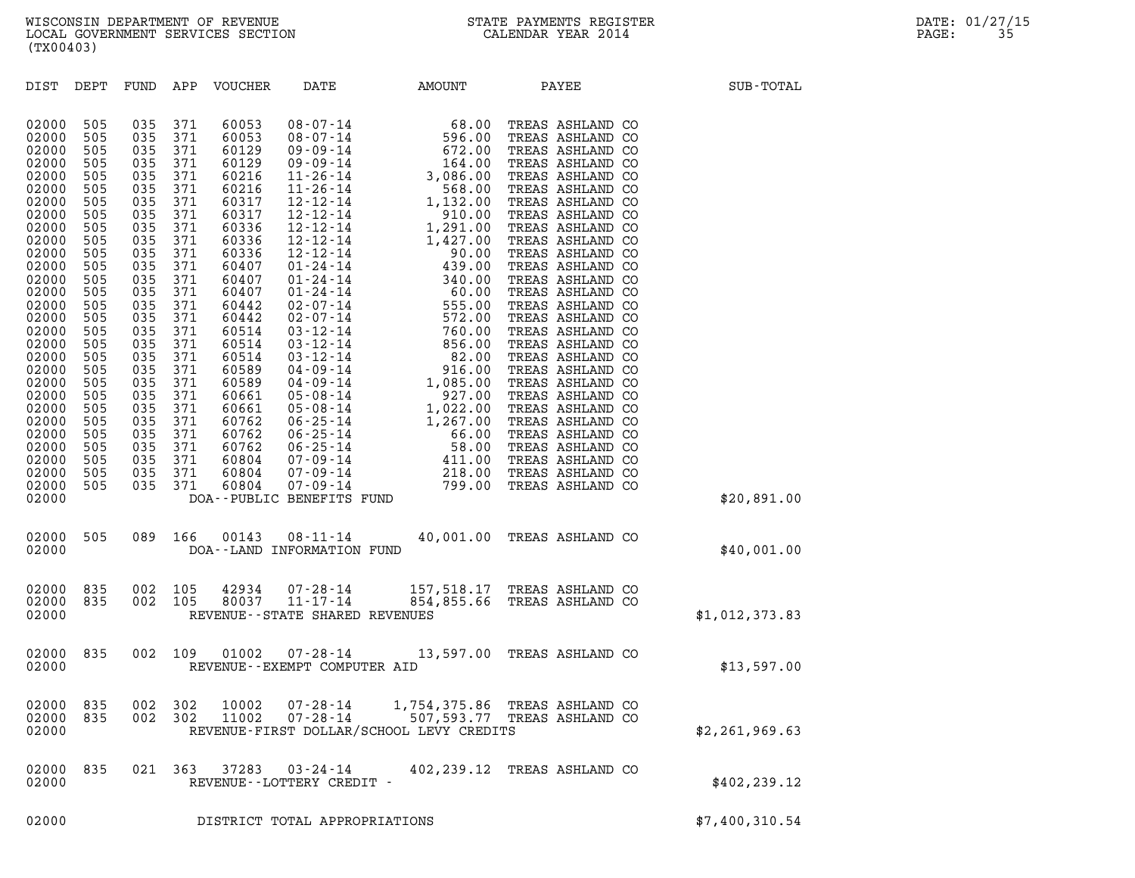| (TX00403)                                                                                                                                                                                                                                                                  |                                                                                                                                                                                                         |                                                                                                                                                                                                         |                                                                                                                                                                                                         |                                                                                                                                                                                                                                                                   |                                              |                                                                                                                                                                                                                                                                              |                                                                                                                                                                                                                                                                                                                                                                                                                                                                                                                                                                                                  |                  |
|----------------------------------------------------------------------------------------------------------------------------------------------------------------------------------------------------------------------------------------------------------------------------|---------------------------------------------------------------------------------------------------------------------------------------------------------------------------------------------------------|---------------------------------------------------------------------------------------------------------------------------------------------------------------------------------------------------------|---------------------------------------------------------------------------------------------------------------------------------------------------------------------------------------------------------|-------------------------------------------------------------------------------------------------------------------------------------------------------------------------------------------------------------------------------------------------------------------|----------------------------------------------|------------------------------------------------------------------------------------------------------------------------------------------------------------------------------------------------------------------------------------------------------------------------------|--------------------------------------------------------------------------------------------------------------------------------------------------------------------------------------------------------------------------------------------------------------------------------------------------------------------------------------------------------------------------------------------------------------------------------------------------------------------------------------------------------------------------------------------------------------------------------------------------|------------------|
| DIST                                                                                                                                                                                                                                                                       | DEPT                                                                                                                                                                                                    | FUND                                                                                                                                                                                                    | APP                                                                                                                                                                                                     | VOUCHER                                                                                                                                                                                                                                                           | DATE                                         | AMOUNT                                                                                                                                                                                                                                                                       | PAYEE                                                                                                                                                                                                                                                                                                                                                                                                                                                                                                                                                                                            | SUB-TOTAL        |
| 02000<br>02000<br>02000<br>02000<br>02000<br>02000<br>02000<br>02000<br>02000<br>02000<br>02000<br>02000<br>02000<br>02000<br>02000<br>02000<br>02000<br>02000<br>02000<br>02000<br>02000<br>02000<br>02000<br>02000<br>02000<br>02000<br>02000<br>02000<br>02000<br>02000 | 505<br>505<br>505<br>505<br>505<br>505<br>505<br>505<br>505<br>505<br>505<br>505<br>505<br>505<br>505<br>505<br>505<br>505<br>505<br>505<br>505<br>505<br>505<br>505<br>505<br>505<br>505<br>505<br>505 | 035<br>035<br>035<br>035<br>035<br>035<br>035<br>035<br>035<br>035<br>035<br>035<br>035<br>035<br>035<br>035<br>035<br>035<br>035<br>035<br>035<br>035<br>035<br>035<br>035<br>035<br>035<br>035<br>035 | 371<br>371<br>371<br>371<br>371<br>371<br>371<br>371<br>371<br>371<br>371<br>371<br>371<br>371<br>371<br>371<br>371<br>371<br>371<br>371<br>371<br>371<br>371<br>371<br>371<br>371<br>371<br>371<br>371 | 60053<br>60053<br>60129<br>60129<br>60216<br>60216<br>60317<br>60317<br>60336<br>60336<br>60336<br>60407<br>60407<br>60407<br>60442<br>60442<br>60514<br>60514<br>60514<br>60589<br>60589<br>60661<br>60661<br>60762<br>60762<br>60762<br>60804<br>60804<br>60804 | DOA--PUBLIC BENEFITS FUND                    | $\begin{array}{cccc} 08-07-14 & 68.00 \\ 08-07-14 & 596.00 \\ 09-09-14 & 672.00 \\ 09-09-14 & 672.00 \\ 11-26-14 & 3,086.00 \\ 12-12-14 & 568.00 \\ 12-12-14 & 1,132.00 \\ 12-12-14 & 1,291.00 \\ 12-12-14 & 1,291.00 \\ 12-12-14 & 90.00 \\ 01-24-14 & 90.00 \\ 01-24-14 &$ | TREAS ASHLAND CO<br>TREAS ASHLAND CO<br>TREAS ASHLAND CO<br>TREAS ASHLAND CO<br>TREAS ASHLAND CO<br>TREAS ASHLAND CO<br>TREAS ASHLAND CO<br>TREAS ASHLAND CO<br>TREAS ASHLAND CO<br>TREAS ASHLAND CO<br>TREAS ASHLAND CO<br>TREAS ASHLAND CO<br>TREAS ASHLAND CO<br>TREAS ASHLAND CO<br>TREAS ASHLAND CO<br>TREAS ASHLAND CO<br>TREAS ASHLAND CO<br>TREAS ASHLAND CO<br>TREAS ASHLAND CO<br>TREAS ASHLAND CO<br>TREAS ASHLAND CO<br>TREAS ASHLAND CO<br>TREAS ASHLAND CO<br>TREAS ASHLAND CO<br>TREAS ASHLAND CO<br>TREAS ASHLAND CO<br>TREAS ASHLAND CO<br>TREAS ASHLAND CO<br>TREAS ASHLAND CO | \$20,891.00      |
| 02000<br>02000                                                                                                                                                                                                                                                             | 505                                                                                                                                                                                                     | 089                                                                                                                                                                                                     | 166                                                                                                                                                                                                     | 00143                                                                                                                                                                                                                                                             | $08 - 11 - 14$<br>DOA--LAND INFORMATION FUND |                                                                                                                                                                                                                                                                              | 40,001.00 TREAS ASHLAND CO                                                                                                                                                                                                                                                                                                                                                                                                                                                                                                                                                                       | \$40,001.00      |
| 02000<br>02000<br>02000                                                                                                                                                                                                                                                    | 835<br>835                                                                                                                                                                                              | 002<br>002                                                                                                                                                                                              | 105<br>105                                                                                                                                                                                              | 42934<br>80037                                                                                                                                                                                                                                                    | REVENUE - - STATE SHARED REVENUES            | 07-28-14 157,518.17 TREAS ASHLAND CO<br>11-17-14 854,855.66 TREAS ASHLAND CO                                                                                                                                                                                                 |                                                                                                                                                                                                                                                                                                                                                                                                                                                                                                                                                                                                  | \$1,012,373.83   |
| 02000<br>02000                                                                                                                                                                                                                                                             | 835                                                                                                                                                                                                     | 002                                                                                                                                                                                                     | 109                                                                                                                                                                                                     | 01002                                                                                                                                                                                                                                                             | REVENUE - - EXEMPT COMPUTER AID              | 07-28-14 13,597.00 TREAS ASHLAND CO                                                                                                                                                                                                                                          |                                                                                                                                                                                                                                                                                                                                                                                                                                                                                                                                                                                                  | \$13,597.00      |
| 02000<br>02000<br>02000                                                                                                                                                                                                                                                    | 835<br>835                                                                                                                                                                                              | 002<br>002                                                                                                                                                                                              | 302<br>302                                                                                                                                                                                              | 10002<br>11002                                                                                                                                                                                                                                                    | $07 - 28 - 14$<br>$07 - 28 - 14$             | REVENUE-FIRST DOLLAR/SCHOOL LEVY CREDITS                                                                                                                                                                                                                                     | 1,754,375.86 TREAS ASHLAND CO<br>507,593.77 TREAS ASHLAND CO                                                                                                                                                                                                                                                                                                                                                                                                                                                                                                                                     | \$2, 261, 969.63 |
| 02000<br>02000                                                                                                                                                                                                                                                             | 835                                                                                                                                                                                                     | 021 363                                                                                                                                                                                                 |                                                                                                                                                                                                         | 37283                                                                                                                                                                                                                                                             | $03 - 24 - 14$<br>REVENUE--LOTTERY CREDIT -  | 402,239.12                                                                                                                                                                                                                                                                   | TREAS ASHLAND CO                                                                                                                                                                                                                                                                                                                                                                                                                                                                                                                                                                                 | \$402, 239.12    |
| 02000                                                                                                                                                                                                                                                                      |                                                                                                                                                                                                         |                                                                                                                                                                                                         |                                                                                                                                                                                                         |                                                                                                                                                                                                                                                                   | DISTRICT TOTAL APPROPRIATIONS                |                                                                                                                                                                                                                                                                              |                                                                                                                                                                                                                                                                                                                                                                                                                                                                                                                                                                                                  | \$7,400,310.54   |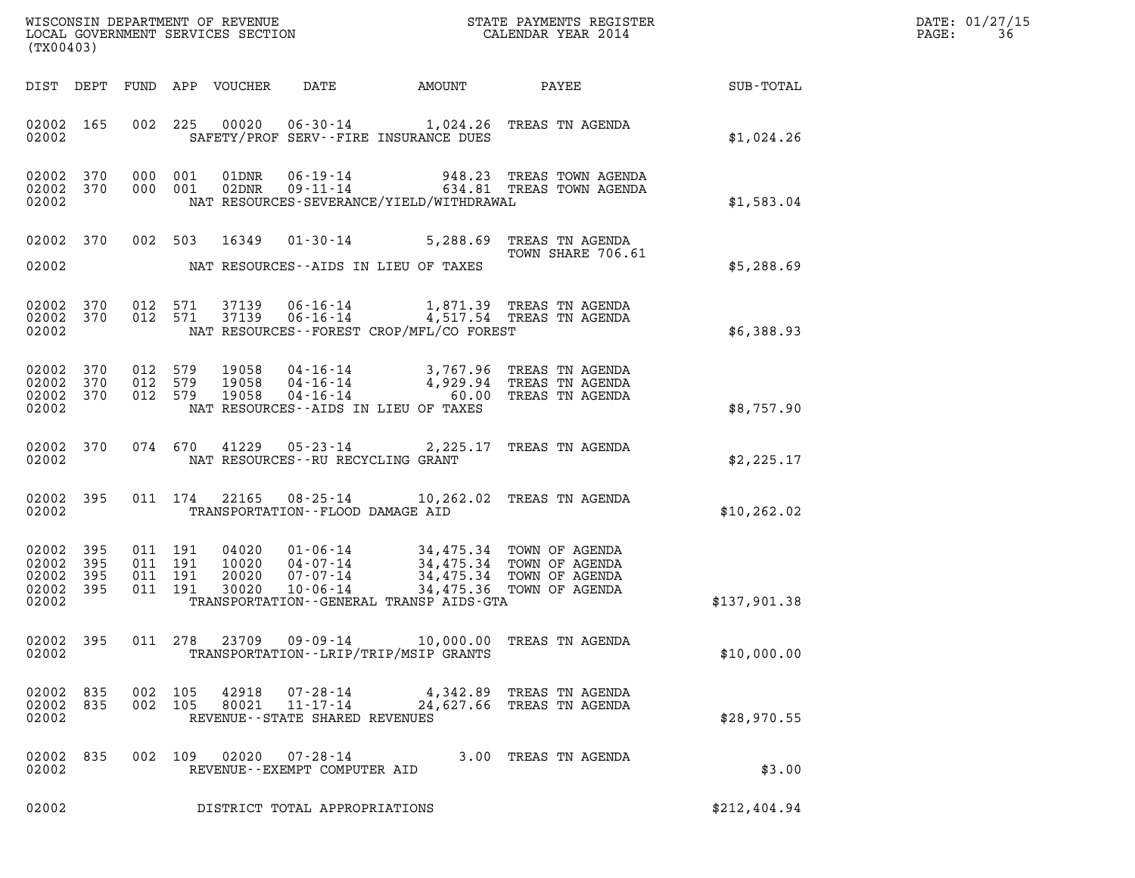| $\mathtt{DATE}$ : | 01/27/15 |
|-------------------|----------|
| PAGE:             | 36       |

| (TX00403)      |                                            |                                          |                |                                                        |                                            |                                                                                                                                                                                        |              | DATE: 01/27/15<br>$\mathtt{PAGE}$ :<br>36 |
|----------------|--------------------------------------------|------------------------------------------|----------------|--------------------------------------------------------|--------------------------------------------|----------------------------------------------------------------------------------------------------------------------------------------------------------------------------------------|--------------|-------------------------------------------|
|                |                                            |                                          |                |                                                        |                                            | DIST DEPT FUND APP VOUCHER DATE AMOUNT PAYEE                                                                                                                                           | SUB-TOTAL    |                                           |
| 02002          | 02002 165                                  |                                          |                |                                                        | SAFETY/PROF SERV--FIRE INSURANCE DUES      | 002 225 00020 06-30-14 1,024.26 TREAS TN AGENDA                                                                                                                                        | \$1,024.26   |                                           |
| 02002          | 02002 370<br>02002 370                     |                                          |                |                                                        | NAT RESOURCES-SEVERANCE/YIELD/WITHDRAWAL   | $\begin{array}{cccc} 000 & 001 & 01 \text{DNR} & 06-19-14 & 948.23 & \text{TREAS TOWN AGENDA} \\ 000 & 001 & 02 \text{DNR} & 09-11-14 & 634.81 & \text{TREAS TOWN AGENDA} \end{array}$ | \$1,583.04   |                                           |
|                | 02002 370                                  |                                          | 002 503 16349  |                                                        | 02002 MAT RESOURCES--AIDS IN LIEU OF TAXES | 01-30-14 5,288.69 TREAS TN AGENDA<br>TOWN SHARE 706.61                                                                                                                                 | \$5,288.69   |                                           |
| 02002          | 02002 370<br>02002 370                     |                                          |                |                                                        | NAT RESOURCES--FOREST CROP/MFL/CO FOREST   | 012 571 37139 06-16-14 1,871.39 TREAS TN AGENDA<br>012 571 37139 06-16-14 4,517.54 TREAS TN AGENDA                                                                                     | \$6,388.93   |                                           |
| 02002          | 02002 370<br>02002 370<br>02002 370        |                                          |                |                                                        | NAT RESOURCES--AIDS IN LIEU OF TAXES       | 012 579 19058 04-16-14 3,767.96 TREAS TN AGENDA<br>012 579 19058 04-16-14 4,929.94 TREAS TN AGENDA<br>012 579 19058 04-16-14 60.00 TREAS TN AGENDA                                     | \$8,757.90   |                                           |
|                | 02002 370                                  |                                          |                | 02002 MAT RESOURCES--RU RECYCLING GRANT                |                                            | 074 670 41229 05-23-14 2,225.17 TREAS TN AGENDA                                                                                                                                        | \$2,225.17   |                                           |
| 02002          | 02002 395                                  |                                          |                | TRANSPORTATION -- FLOOD DAMAGE AID                     |                                            | 011 174 22165 08-25-14 10,262.02 TREAS TN AGENDA                                                                                                                                       | \$10, 262.02 |                                           |
| 02002<br>02002 | 02002 395<br>02002 395<br>395<br>02002 395 | 011 191<br>011 191<br>011 191<br>011 191 |                |                                                        | TRANSPORTATION--GENERAL TRANSP AIDS-GTA    | 04020  01-06-14  34,475.34  TOWN OF AGENDA<br>10020  04-07-14  34,475.34  TOWN OF AGENDA<br>20020  07-07-14  34,475.34  TOWN OF AGENDA<br>30020  10-06-14  34,475.36  TOWN OF AGENDA   | \$137,901.38 |                                           |
| 02002          | 02002 395                                  |                                          | 011 278 23709  | 09-09-14                                               | TRANSPORTATION - - LRIP/TRIP/MSIP GRANTS   | 10,000.00 TREAS TN AGENDA                                                                                                                                                              | \$10,000.00  |                                           |
| 02002<br>02002 | 02002 835<br>835                           | 002 105<br>002 105                       | 42918<br>80021 | 07-28-14<br>11-17-14<br>REVENUE--STATE SHARED REVENUES | 24,627.66                                  | 4,342.89 TREAS TN AGENDA<br>TREAS TN AGENDA                                                                                                                                            | \$28,970.55  |                                           |
| 02002          | 02002 835                                  | 002 109                                  | 02020          | $07 - 28 - 14$<br>REVENUE--EXEMPT COMPUTER AID         |                                            | 3.00 TREAS TN AGENDA                                                                                                                                                                   | \$3.00       |                                           |
| 02002          |                                            |                                          |                | DISTRICT TOTAL APPROPRIATIONS                          |                                            |                                                                                                                                                                                        | \$212,404.94 |                                           |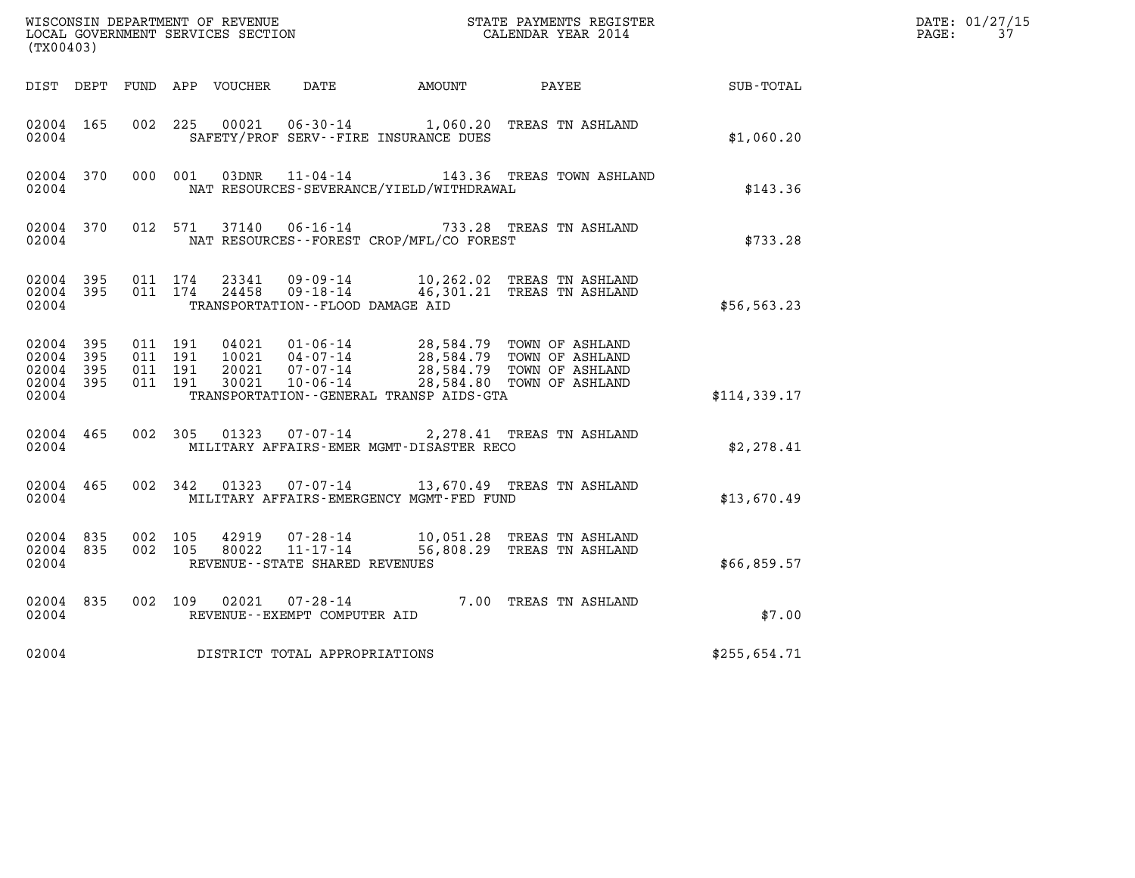|                                               |                   |                                          |         | WISCONSIN DEPARTMENT OF REVENUE   |                                                                    |                                              | STATE PAYMENTS REGISTER                                                                                          |              | DATE: 01/27/15 |
|-----------------------------------------------|-------------------|------------------------------------------|---------|-----------------------------------|--------------------------------------------------------------------|----------------------------------------------|------------------------------------------------------------------------------------------------------------------|--------------|----------------|
| (TX00403)                                     |                   |                                          |         | LOCAL GOVERNMENT SERVICES SECTION |                                                                    |                                              | CALENDAR YEAR 2014                                                                                               |              | PAGE:<br>37    |
|                                               | DIST DEPT         |                                          |         | FUND APP VOUCHER                  | DATE                                                               | AMOUNT                                       | PAYEE                                                                                                            | SUB-TOTAL    |                |
| 02004 165<br>02004                            |                   | 002                                      | 225     | 00021                             | 06-30-14                                                           | SAFETY/PROF SERV--FIRE INSURANCE DUES        | 1,060.20 TREAS TN ASHLAND                                                                                        | \$1,060.20   |                |
| 02004 370<br>02004                            |                   | 000 001                                  |         | 03DNR                             | 11-04-14                                                           | NAT RESOURCES-SEVERANCE/YIELD/WITHDRAWAL     | 143.36 TREAS TOWN ASHLAND                                                                                        | \$143.36     |                |
| 02004 370<br>02004                            |                   |                                          | 012 571 | 37140                             | $06 - 16 - 14$                                                     | NAT RESOURCES - - FOREST CROP/MFL/CO FOREST  | 733.28 TREAS TN ASHLAND                                                                                          | \$733.28     |                |
| 02004 395<br>02004 395<br>02004               |                   | 011 174<br>011 174                       |         | 23341<br>24458                    | 09 - 09 - 14<br>$09 - 18 - 14$<br>TRANSPORTATION--FLOOD DAMAGE AID |                                              | 10,262.02 TREAS TN ASHLAND<br>46,301.21 TREAS TN ASHLAND                                                         | \$56, 563.23 |                |
| 02004 395<br>02004<br>02004<br>02004<br>02004 | 395<br>395<br>395 | 011 191<br>011 191<br>011 191<br>011 191 |         | 04021<br>10021<br>20021<br>30021  | 01-06-14<br>04-07-14<br>07-07-14<br>$10 - 06 - 14$                 | TRANSPORTATION - - GENERAL TRANSP AIDS - GTA | 28,584.79 TOWN OF ASHLAND<br>28,584.79 TOWN OF ASHLAND<br>28,584.79 TOWN OF ASHLAND<br>28,584.80 TOWN OF ASHLAND | \$114,339.17 |                |
| 02004 465<br>02004                            |                   | 002 305                                  |         | 01323                             | 07-07-14                                                           | MILITARY AFFAIRS-EMER MGMT-DISASTER RECO     | 2,278.41 TREAS TN ASHLAND                                                                                        | \$2,278.41   |                |
| 02004 465<br>02004                            |                   | 002 342                                  |         | 01323                             | 07-07-14                                                           | MILITARY AFFAIRS-EMERGENCY MGMT-FED FUND     | 13,670.49 TREAS TN ASHLAND                                                                                       | \$13,670.49  |                |
| 02004<br>02004 835<br>02004                   | 835               | 002 105<br>002 105                       |         | 42919<br>80022                    | $07 - 28 - 14$<br>11-17-14<br>REVENUE - - STATE SHARED REVENUES    |                                              | 10,051.28 TREAS TN ASHLAND<br>56,808.29 TREAS TN ASHLAND                                                         | \$66,859.57  |                |
| 02004 835<br>02004                            |                   | 002 109                                  |         | 02021                             | 07-28-14<br>REVENUE--EXEMPT COMPUTER AID                           |                                              | 7.00 TREAS TN ASHLAND                                                                                            | \$7.00       |                |
| 02004                                         |                   |                                          |         |                                   | DISTRICT TOTAL APPROPRIATIONS                                      |                                              |                                                                                                                  | \$255,654.71 |                |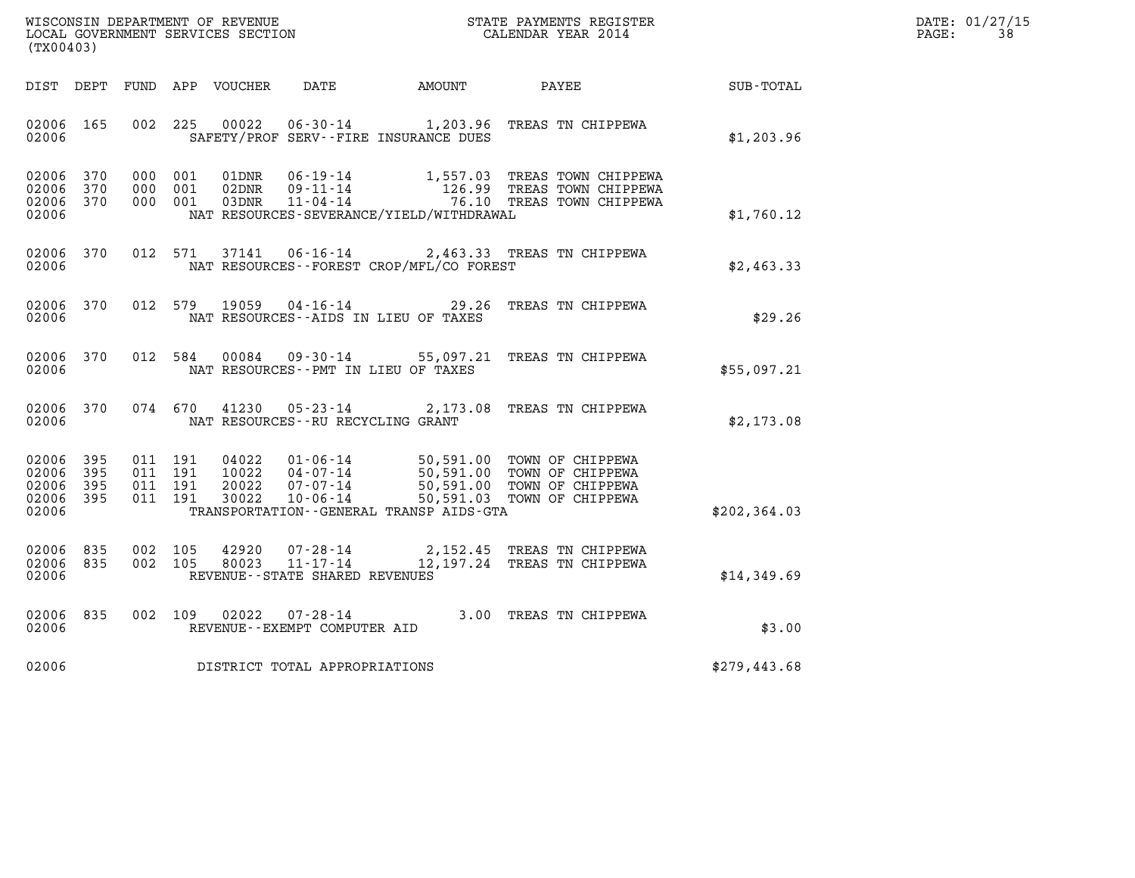| WISCONSIN DEPARTMENT OF REVENUE   | STATE PAYMENTS REGISTER | DATE: 01/27/15 |
|-----------------------------------|-------------------------|----------------|
| LOCAL GOVERNMENT SERVICES SECTION | CALENDAR YEAR 2014      | PAGE:          |

| WISCONSIN DEPARTMENT OF REVENUE<br>(TX00403)                                                      | LOCAL GOVERNMENT SERVICES SECTION                                                                                                                                               | STATE PAYMENTS REGISTER<br>CALENDAR YEAR 2014                                                                                    |               |
|---------------------------------------------------------------------------------------------------|---------------------------------------------------------------------------------------------------------------------------------------------------------------------------------|----------------------------------------------------------------------------------------------------------------------------------|---------------|
| DIST<br>DEPT<br>FUND                                                                              | APP<br><b>VOUCHER</b><br>DATE                                                                                                                                                   | AMOUNT<br>PAYEE                                                                                                                  | SUB-TOTAL     |
| 02006<br>165<br>002<br>02006                                                                      | 225<br>00022<br>$06 - 30 - 14$<br>SAFETY/PROF SERV--FIRE INSURANCE DUES                                                                                                         | 1,203.96<br>TREAS TN CHIPPEWA                                                                                                    | \$1,203.96    |
| 02006<br>370<br>000<br>02006<br>370<br>000<br>02006<br>370<br>000<br>02006                        | $06 - 19 - 14$<br>001<br>01DNR<br>001<br>$09 - 11 - 14$<br>02DNR<br>$11 - 04 - 14$<br>001<br>03DNR<br>NAT RESOURCES-SEVERANCE/YIELD/WITHDRAWAL                                  | 1,557.03<br>TREAS TOWN CHIPPEWA<br>126.99<br>TREAS TOWN CHIPPEWA<br>76.10<br>TREAS TOWN CHIPPEWA                                 | \$1,760.12    |
| 02006<br>370<br>012<br>02006                                                                      | 571<br>37141<br>$06 - 16 - 14$<br>NAT RESOURCES - - FOREST CROP/MFL/CO FOREST                                                                                                   | 2,463.33 TREAS TN CHIPPEWA                                                                                                       | \$2,463.33    |
| 370<br>012<br>02006<br>02006                                                                      | 579<br>19059<br>$04 - 16 - 14$<br>NAT RESOURCES - - AIDS IN LIEU OF TAXES                                                                                                       | 29.26<br>TREAS TN CHIPPEWA                                                                                                       | \$29.26       |
| 370<br>012<br>02006<br>02006                                                                      | 584<br>00084<br>$09 - 30 - 14$<br>NAT RESOURCES - - PMT IN LIEU OF TAXES                                                                                                        | 55,097.21<br>TREAS TN CHIPPEWA                                                                                                   | \$55,097.21   |
| 370<br>074<br>02006<br>02006                                                                      | 41230<br>670<br>$05 - 23 - 14$<br>NAT RESOURCES - - RU RECYCLING GRANT                                                                                                          | 2,173.08<br>TREAS TN CHIPPEWA                                                                                                    | \$2,173.08    |
| 02006<br>395<br>011<br>02006<br>395<br>011<br>02006<br>395<br>011<br>395<br>011<br>02006<br>02006 | 191<br>04022<br>$01 - 06 - 14$<br>10022<br>$04 - 07 - 14$<br>191<br>191<br>20022<br>$07 - 07 - 14$<br>191<br>30022<br>$10 - 06 - 14$<br>TRANSPORTATION--GENERAL TRANSP AIDS-GTA | 50,591.00<br>TOWN OF CHIPPEWA<br>50,591.00<br>TOWN OF CHIPPEWA<br>50,591.00<br>TOWN OF CHIPPEWA<br>50,591.03<br>TOWN OF CHIPPEWA | \$202, 364.03 |
| 02006<br>835<br>002<br>02006<br>835<br>002<br>02006                                               | 105<br>42920<br>$07 - 28 - 14$<br>105<br>80023<br>$11 - 17 - 14$<br>REVENUE - - STATE SHARED REVENUES                                                                           | 2,152.45<br>TREAS TN CHIPPEWA<br>12,197.24<br>TREAS TN CHIPPEWA                                                                  | \$14,349.69   |
| 835<br>02006<br>002<br>02006                                                                      | 109<br>02022<br>$07 - 28 - 14$<br>REVENUE - - EXEMPT COMPUTER AID                                                                                                               | 3.00<br>TREAS TN CHIPPEWA                                                                                                        | \$3.00        |
| 02006                                                                                             | DISTRICT TOTAL APPROPRIATIONS                                                                                                                                                   |                                                                                                                                  | \$279,443.68  |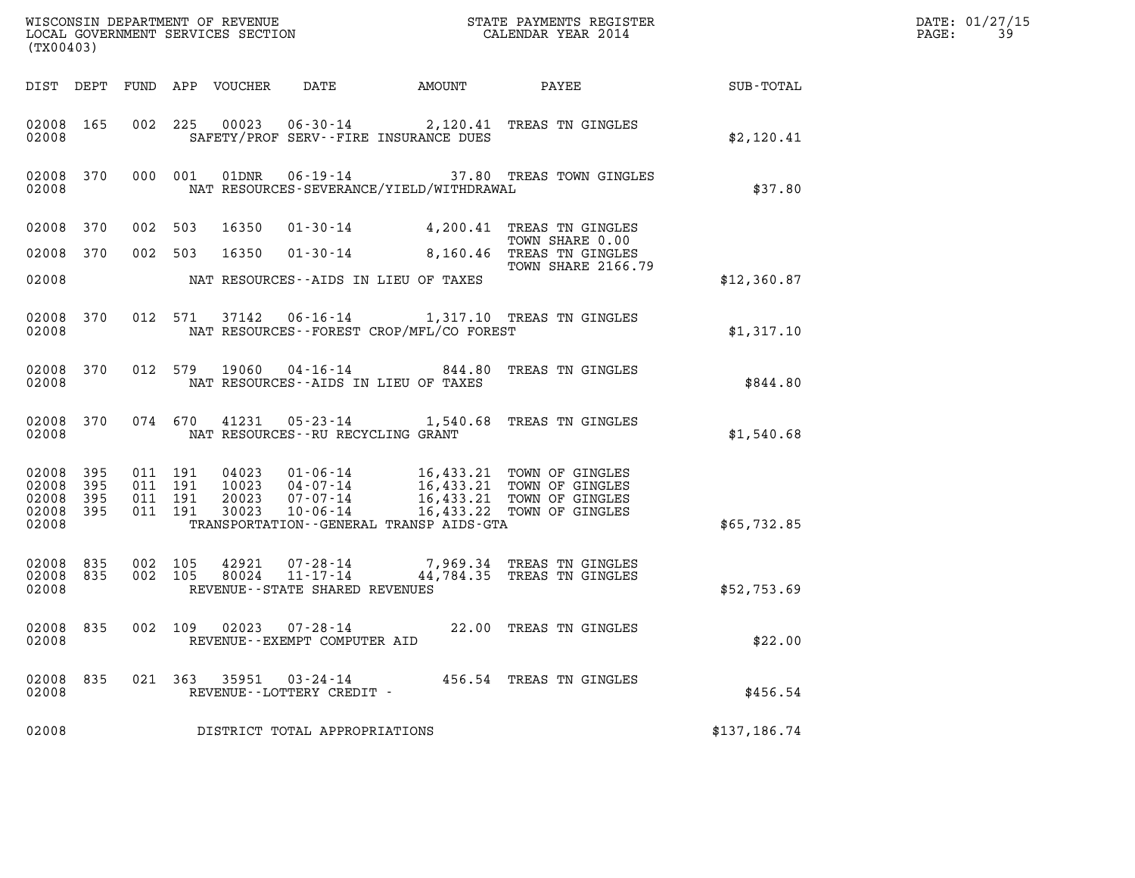| (TX00403)                                    |       |                    |                                          |                                  |                                                                    |                                             |                                                                                                                           | DATE: 01/27/15<br>PAGE:<br>39 |  |
|----------------------------------------------|-------|--------------------|------------------------------------------|----------------------------------|--------------------------------------------------------------------|---------------------------------------------|---------------------------------------------------------------------------------------------------------------------------|-------------------------------|--|
|                                              |       |                    | DIST DEPT FUND APP VOUCHER               |                                  | DATE                                                               | AMOUNT                                      | PAYEE                                                                                                                     | SUB-TOTAL                     |  |
| 02008 165<br>02008                           |       |                    |                                          |                                  |                                                                    | SAFETY/PROF SERV--FIRE INSURANCE DUES       | 002 225 00023 06-30-14 2,120.41 TREAS TN GINGLES                                                                          | \$2,120.41                    |  |
| 02008 370<br>02008                           |       |                    | 000 001                                  | 01DNR                            |                                                                    | NAT RESOURCES-SEVERANCE/YIELD/WITHDRAWAL    | 06-19-14 37.80 TREAS TOWN GINGLES                                                                                         | \$37.80                       |  |
| 02008 370                                    |       | 002                | 503                                      | 16350                            |                                                                    |                                             | 01-30-14 4,200.41 TREAS TN GINGLES<br>TOWN SHARE 0.00                                                                     |                               |  |
| 02008 370                                    |       | 002 503            |                                          | 16350                            | $01 - 30 - 14$                                                     |                                             | 8,160.46 TREAS TN GINGLES<br><b>TOWN SHARE 2166.79</b>                                                                    |                               |  |
| 02008                                        |       |                    |                                          |                                  |                                                                    | NAT RESOURCES--AIDS IN LIEU OF TAXES        |                                                                                                                           | \$12,360.87                   |  |
| 02008 370<br>02008                           |       |                    |                                          |                                  |                                                                    | NAT RESOURCES - - FOREST CROP/MFL/CO FOREST | 012 571 37142 06-16-14 1,317.10 TREAS TN GINGLES                                                                          | \$1,317.10                    |  |
| 02008 370<br>02008                           |       | 012 579            |                                          | 19060                            |                                                                    | NAT RESOURCES -- AIDS IN LIEU OF TAXES      | 04-16-14 844.80 TREAS TN GINGLES                                                                                          | \$844.80                      |  |
| 02008 370<br>02008                           |       |                    | 074 670                                  |                                  | NAT RESOURCES - - RU RECYCLING GRANT                               |                                             | 41231  05-23-14  1,540.68  TREAS TN GINGLES                                                                               | \$1,540.68                    |  |
| 02008 395<br>02008 395<br>02008<br>02008 395 | - 395 |                    | 011 191<br>011 191<br>011 191<br>011 191 | 04023<br>10023<br>20023<br>30023 | $04 - 07 - 14$<br>07-07-14<br>$10 - 06 - 14$                       |                                             | 01-06-14 16,433.21 TOWN OF GINGLES<br>16,433.21 TOWN OF GINGLES<br>16,433.21 TOWN OF GINGLES<br>16,433.22 TOWN OF GINGLES |                               |  |
| 02008                                        |       |                    |                                          |                                  |                                                                    | TRANSPORTATION--GENERAL TRANSP AIDS-GTA     |                                                                                                                           | \$65,732.85                   |  |
| 02008 835<br>02008 835<br>02008              |       | 002 105<br>002 105 |                                          | 80024                            | 42921 07-28-14<br>$11 - 17 - 14$<br>REVENUE--STATE SHARED REVENUES |                                             | 7,969.34 TREAS TN GINGLES<br>44,784.35 TREAS TN GINGLES                                                                   | \$52,753.69                   |  |
| 02008 835<br>02008                           |       | 002 109            |                                          |                                  | $02023$ $07 - 28 - 14$<br>REVENUE - - EXEMPT COMPUTER AID          |                                             | 22.00 TREAS TN GINGLES                                                                                                    | \$22.00                       |  |
| 02008 835<br>02008                           |       |                    |                                          |                                  | 021 363 35951 03-24-14<br>REVENUE--LOTTERY CREDIT -                |                                             | 456.54 TREAS TN GINGLES                                                                                                   | \$456.54                      |  |
| 02008                                        |       |                    |                                          |                                  | DISTRICT TOTAL APPROPRIATIONS                                      |                                             |                                                                                                                           | \$137,186.74                  |  |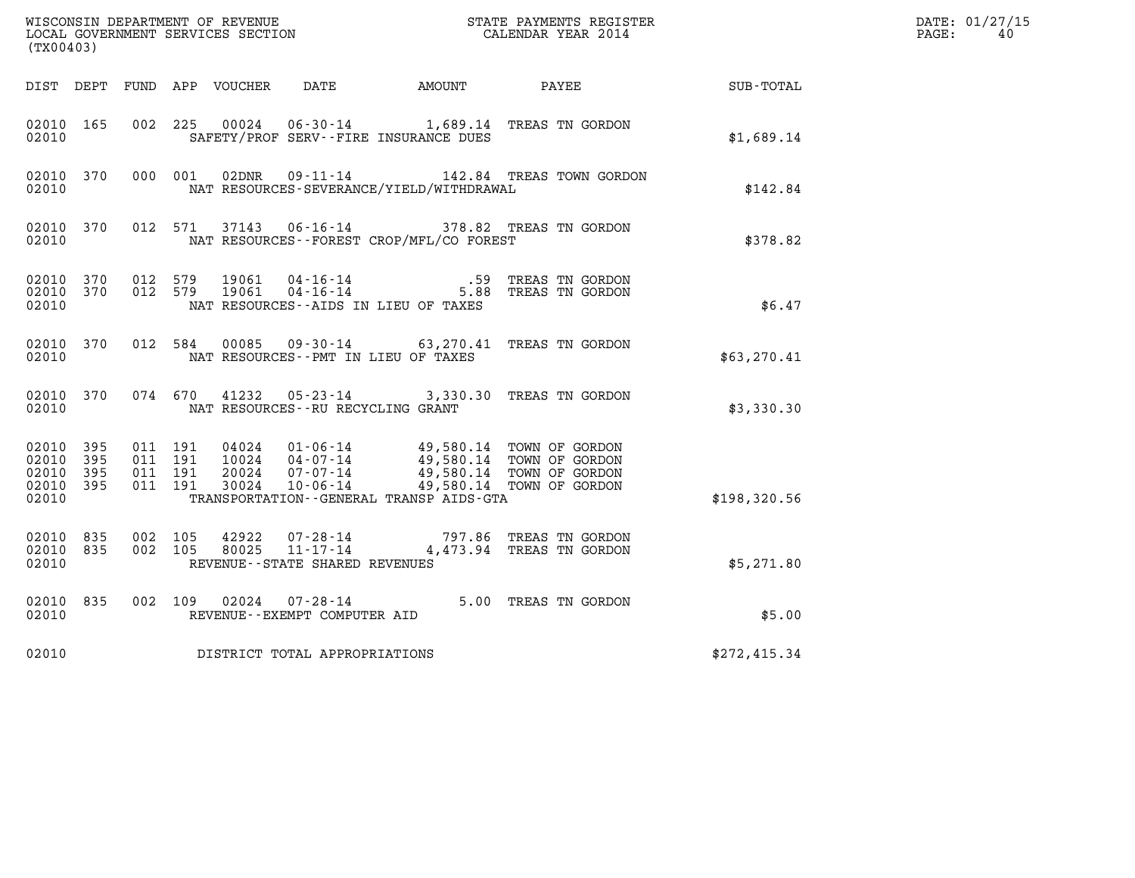| (TX00403)                                         |              |                                          |         | WISCONSIN DEPARTMENT OF REVENUE<br>LOCAL GOVERNMENT SERVICES SECTION |                                                                 |                                                                                       | STATE PAYMENTS REGISTER<br>CALENDAR YEAR 2014                                    |              | DATE: 01/27/15<br>PAGE:<br>40 |
|---------------------------------------------------|--------------|------------------------------------------|---------|----------------------------------------------------------------------|-----------------------------------------------------------------|---------------------------------------------------------------------------------------|----------------------------------------------------------------------------------|--------------|-------------------------------|
| DIST DEPT                                         |              |                                          |         | FUND APP VOUCHER                                                     | DATE                                                            | AMOUNT                                                                                | PAYEE                                                                            | SUB-TOTAL    |                               |
| 02010 165<br>02010                                |              | 002 225                                  |         | 00024                                                                |                                                                 | SAFETY/PROF SERV--FIRE INSURANCE DUES                                                 | 06-30-14 1,689.14 TREAS TN GORDON                                                | \$1,689.14   |                               |
| 02010 370<br>02010                                |              | 000 001                                  |         | 02DNR                                                                | $09 - 11 - 14$                                                  | NAT RESOURCES-SEVERANCE/YIELD/WITHDRAWAL                                              | 142.84 TREAS TOWN GORDON                                                         | \$142.84     |                               |
| 02010 370<br>02010                                |              |                                          | 012 571 |                                                                      |                                                                 | NAT RESOURCES--FOREST CROP/MFL/CO FOREST                                              | 37143  06-16-14  378.82  TREAS TN GORDON                                         | \$378.82     |                               |
| 02010 370<br>02010 370<br>02010                   |              | 012 579<br>012 579                       |         | 19061<br>19061                                                       | 04-16-14<br>$04 - 16 - 14$                                      | .59<br>NAT RESOURCES -- AIDS IN LIEU OF TAXES                                         | TREAS TN GORDON<br>5.88 TREAS TN GORDON                                          | \$6.47       |                               |
| 02010 370<br>02010                                |              | 012 584                                  |         | 00085                                                                |                                                                 | NAT RESOURCES -- PMT IN LIEU OF TAXES                                                 | 09-30-14 63, 270.41 TREAS TN GORDON                                              | \$63,270.41  |                               |
| 02010 370<br>02010                                |              | 074 670                                  |         | 41232                                                                | 05-23-14<br>NAT RESOURCES - - RU RECYCLING GRANT                |                                                                                       | 3,330.30 TREAS TN GORDON                                                         | \$3,330.30   |                               |
| 02010 395<br>02010<br>02010<br>02010 395<br>02010 | 395<br>- 395 | 011 191<br>011 191<br>011 191<br>011 191 |         | 20024<br>30024                                                       | $10024$ $04-07-14$<br>$07 - 07 - 14$<br>$10 - 06 - 14$          | 04024  01-06-14  49,580.14  TOWN OF GORDON<br>TRANSPORTATION--GENERAL TRANSP AIDS-GTA | 49,580.14 TOWN OF GORDON<br>49,580.14 TOWN OF GORDON<br>49,580.14 TOWN OF GORDON | \$198,320.56 |                               |
| 02010<br>02010 835<br>02010                       | 835          | 002 105<br>002 105                       |         | 42922<br>80025                                                       | 07-28-14<br>$11 - 17 - 14$<br>REVENUE - - STATE SHARED REVENUES |                                                                                       | 797.86 TREAS TN GORDON<br>4,473.94 TREAS TN GORDON                               | \$5,271.80   |                               |
| 02010<br>02010                                    | 835          | 002 109                                  |         | 02024                                                                | $07 - 28 - 14$<br>REVENUE--EXEMPT COMPUTER AID                  |                                                                                       | 5.00 TREAS TN GORDON                                                             | \$5.00       |                               |
| 02010                                             |              |                                          |         |                                                                      | DISTRICT TOTAL APPROPRIATIONS                                   |                                                                                       |                                                                                  | \$272,415.34 |                               |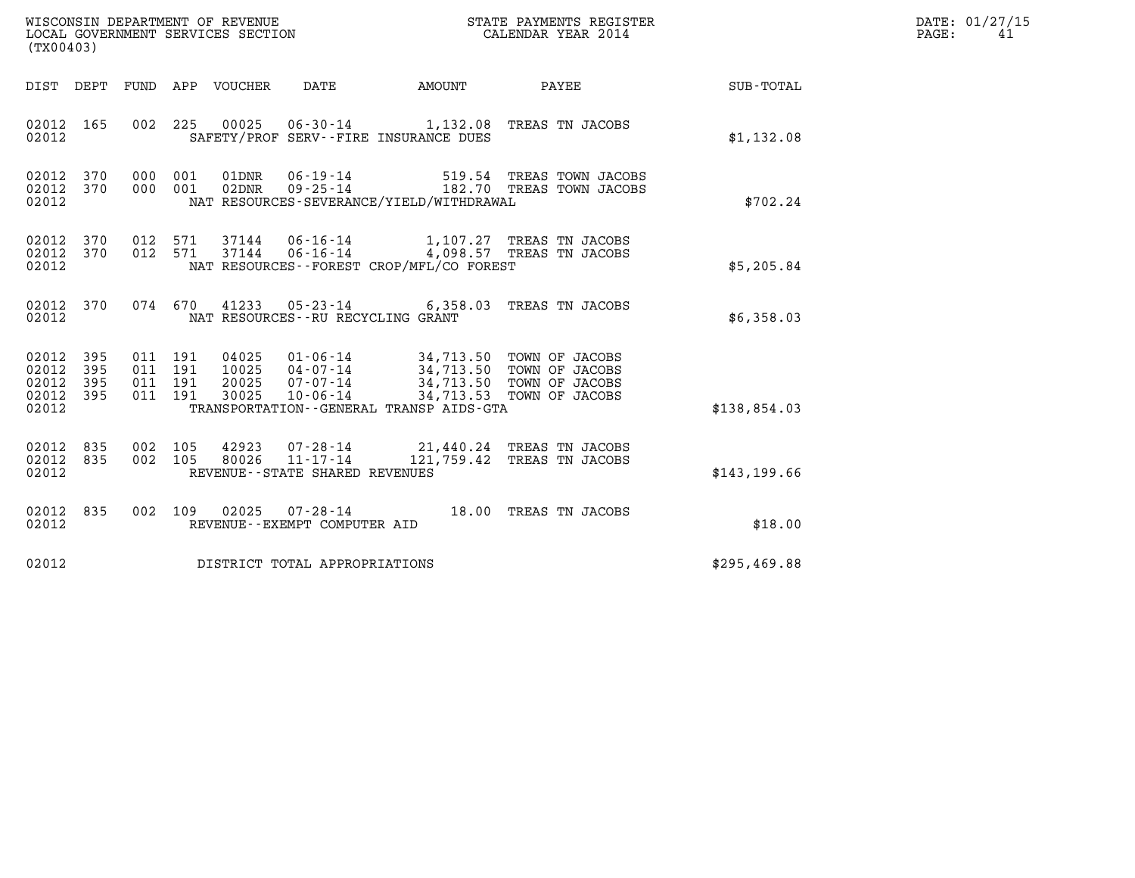| (TX00403)                                     |                   |                                          |                    |                            | WISCONSIN DEPARTMENT OF REVENUE<br>LOCAL GOVERNMENT SERVICES SECTION |                                                                                                                                                                          | STATE PAYMENTS REGISTER<br>CALENDAR YEAR 2014                    |              | DATE: 01/27/15<br>$\mathtt{PAGE}$ :<br>41 |
|-----------------------------------------------|-------------------|------------------------------------------|--------------------|----------------------------|----------------------------------------------------------------------|--------------------------------------------------------------------------------------------------------------------------------------------------------------------------|------------------------------------------------------------------|--------------|-------------------------------------------|
|                                               |                   |                                          |                    | DIST DEPT FUND APP VOUCHER | DATE                                                                 | AMOUNT                                                                                                                                                                   | PAYEE                                                            | SUB-TOTAL    |                                           |
| 02012 165<br>02012                            |                   |                                          |                    |                            |                                                                      | SAFETY/PROF SERV--FIRE INSURANCE DUES                                                                                                                                    | 002 225 00025 06-30-14 1,132.08 TREAS TN JACOBS                  | \$1,132.08   |                                           |
| 02012<br>02012 370<br>02012                   | 370               | 000<br>000 001                           | 001                | 01DNR                      | $02DNR$ $09 - 25 - 14$                                               | NAT RESOURCES-SEVERANCE/YIELD/WITHDRAWAL                                                                                                                                 | 06-19-14 519.54 TREAS TOWN JACOBS<br>182.70 TREAS TOWN JACOBS    | \$702.24     |                                           |
| 02012<br>02012 370<br>02012                   | 370               |                                          | 012 571<br>012 571 |                            |                                                                      | NAT RESOURCES - - FOREST CROP/MFL/CO FOREST                                                                                                                              |                                                                  | \$5,205.84   |                                           |
| 02012 370<br>02012                            |                   |                                          |                    |                            | NAT RESOURCES -- RU RECYCLING GRANT                                  |                                                                                                                                                                          | 074 670 41233 05-23-14 6,358.03 TREAS TN JACOBS                  | \$6,358.03   |                                           |
| 02012<br>02012<br>02012<br>02012 395<br>02012 | 395<br>395<br>395 | 011 191<br>011 191<br>011 191<br>011 191 |                    | 30025                      | $10 - 06 - 14$                                                       | 04025 01-06-14 34,713.50 TOWN OF JACOBS<br>10025 04-07-14 34,713.50 TOWN OF JACOBS<br>20025 07-07-14 34,713.50 TOWN OF JACOBS<br>TRANSPORTATION--GENERAL TRANSP AIDS-GTA | 34,713.53 TOWN OF JACOBS                                         | \$138,854.03 |                                           |
| 02012<br>02012 835<br>02012                   | 835               | 002 105<br>002 105                       |                    | 42923<br>80026             | $11 - 17 - 14$<br>REVENUE - - STATE SHARED REVENUES                  |                                                                                                                                                                          | 07-28-14 21,440.24 TREAS TN JACOBS<br>121,759.42 TREAS TN JACOBS | \$143,199.66 |                                           |
| 02012 835<br>02012                            |                   | 002 109                                  |                    |                            | REVENUE--EXEMPT COMPUTER AID                                         |                                                                                                                                                                          | 02025  07-28-14  18.00 TREAS TN JACOBS                           | \$18.00      |                                           |
| 02012                                         |                   |                                          |                    |                            | DISTRICT TOTAL APPROPRIATIONS                                        |                                                                                                                                                                          |                                                                  | \$295,469.88 |                                           |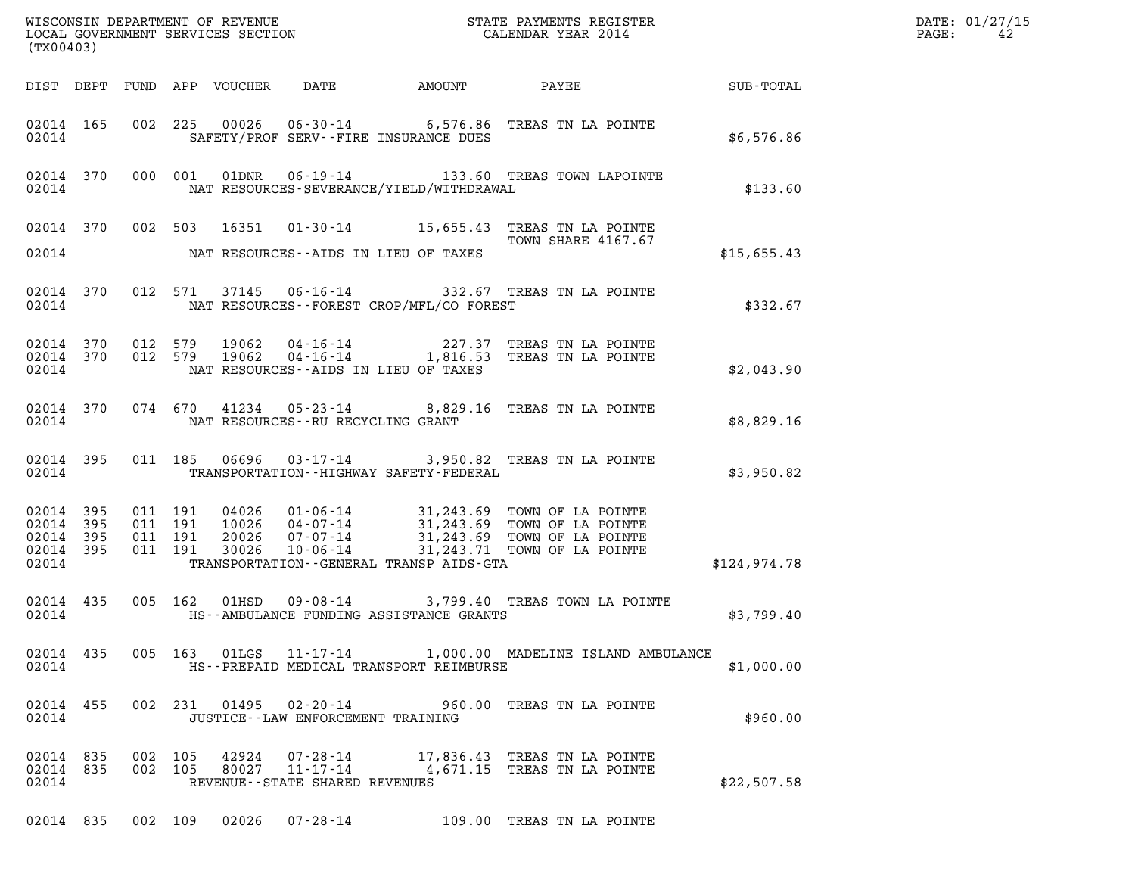| (TX00403)                                             |     |                                          |       |                                         |                                             |                                                                                                                                                                                                                                             | $\mathcal{L}(\mathcal{L}^{\text{max}}_{\mathcal{L}^{\text{max}}_{\mathcal{L}^{\text{max}}_{\mathcal{L}^{\text{max}}_{\mathcal{L}^{\text{max}}_{\mathcal{L}^{\text{max}}_{\mathcal{L}^{\text{max}}_{\mathcal{L}^{\text{max}}_{\mathcal{L}^{\text{max}}_{\mathcal{L}^{\text{max}}_{\mathcal{L}^{\text{max}}_{\mathcal{L}^{\text{max}}_{\mathcal{L}^{\text{max}}_{\mathcal{L}^{\text{max}}_{\mathcal{L}^{\text{max}}_{\mathcal{L}^{\text{max}}_{\mathcal{L}$ | DATE: 01/27/15<br>$\mathtt{PAGE:}$<br>42 |
|-------------------------------------------------------|-----|------------------------------------------|-------|-----------------------------------------|---------------------------------------------|---------------------------------------------------------------------------------------------------------------------------------------------------------------------------------------------------------------------------------------------|-----------------------------------------------------------------------------------------------------------------------------------------------------------------------------------------------------------------------------------------------------------------------------------------------------------------------------------------------------------------------------------------------------------------------------------------------------------|------------------------------------------|
|                                                       |     |                                          |       |                                         |                                             |                                                                                                                                                                                                                                             | DIST DEPT FUND APP VOUCHER DATE AMOUNT PAYEE SUB-TOTAL                                                                                                                                                                                                                                                                                                                                                                                                    |                                          |
| 02014 165<br>02014                                    |     |                                          |       |                                         | SAFETY/PROF SERV--FIRE INSURANCE DUES       | 002 225 00026 06-30-14 6,576.86 TREAS TN LA POINTE                                                                                                                                                                                          | \$6,576.86                                                                                                                                                                                                                                                                                                                                                                                                                                                |                                          |
| 02014                                                 |     |                                          |       |                                         | NAT RESOURCES-SEVERANCE/YIELD/WITHDRAWAL    | 02014 370 000 001 01DNR 06-19-14 133.60 TREAS TOWN LAPOINTE                                                                                                                                                                                 | \$133.60                                                                                                                                                                                                                                                                                                                                                                                                                                                  |                                          |
| 02014                                                 |     |                                          |       |                                         | NAT RESOURCES--AIDS IN LIEU OF TAXES        | 02014 370 002 503 16351 01-30-14 15,655.43 TREAS TN LA POINTE<br>TOWN SHARE 4167.67                                                                                                                                                         | \$15,655.43                                                                                                                                                                                                                                                                                                                                                                                                                                               |                                          |
| 02014                                                 |     |                                          |       |                                         | NAT RESOURCES--FOREST CROP/MFL/CO FOREST    | 02014 370 012 571 37145 06-16-14 332.67 TREAS TN LA POINTE                                                                                                                                                                                  | \$332.67                                                                                                                                                                                                                                                                                                                                                                                                                                                  |                                          |
| 02014 370<br>02014 370<br>02014                       |     |                                          |       |                                         | NAT RESOURCES--AIDS IN LIEU OF TAXES        | 012 579 19062 04-16-14 227.37 TREAS TN LA POINTE<br>012 579 19062 04-16-14 1,816.53 TREAS TN LA POINTE                                                                                                                                      | \$2,043.90                                                                                                                                                                                                                                                                                                                                                                                                                                                |                                          |
|                                                       |     |                                          |       | 02014 NAT RESOURCES--RU RECYCLING GRANT |                                             | 02014 370 074 670 41234 05-23-14 8,829.16 TREAS TN LA POINTE                                                                                                                                                                                | \$8,829.16                                                                                                                                                                                                                                                                                                                                                                                                                                                |                                          |
| 02014                                                 |     |                                          |       |                                         | TRANSPORTATION - - HIGHWAY SAFETY - FEDERAL | 02014 395 011 185 06696 03-17-14 3,950.82 TREAS TN LA POINTE                                                                                                                                                                                | \$3,950.82                                                                                                                                                                                                                                                                                                                                                                                                                                                |                                          |
| 02014 395<br>02014<br>02014 395<br>02014 395<br>02014 | 395 | 011 191<br>011 191<br>011 191<br>011 191 |       |                                         |                                             | 04026  01-06-14  31,243.69  TOWN OF LA POINTE<br>10026  04-07-14  31,243.69  TOWN OF LA POINTE<br>20026  07-07-14  31,243.69  TOWN OF LA POINTE<br>30026  10-06-14  31,243.71  TOWN OF LA POINTE<br>TRANSPORTATION--GENERAL TRANSP AIDS-GTA | \$124,974.78                                                                                                                                                                                                                                                                                                                                                                                                                                              |                                          |
| 02014                                                 |     |                                          |       |                                         | HS--AMBULANCE FUNDING ASSISTANCE GRANTS     | 02014 435 005 162 01HSD 09-08-14 3,799.40 TREAS TOWN LA POINTE                                                                                                                                                                              | \$3,799.40                                                                                                                                                                                                                                                                                                                                                                                                                                                |                                          |
| 02014 435<br>02014                                    |     |                                          |       |                                         | HS--PREPAID MEDICAL TRANSPORT REIMBURSE     | 005 163 01LGS 11-17-14 1,000.00 MADELINE ISLAND AMBULANCE                                                                                                                                                                                   | \$1,000.00                                                                                                                                                                                                                                                                                                                                                                                                                                                |                                          |
| 02014 455<br>02014                                    |     |                                          |       | JUSTICE--LAW ENFORCEMENT TRAINING       |                                             | 002 231 01495 02-20-14 960.00 TREAS TN LA POINTE                                                                                                                                                                                            | \$960.00                                                                                                                                                                                                                                                                                                                                                                                                                                                  |                                          |
| 02014 835<br>02014 835<br>02014                       |     | 002 105<br>002 105                       | 42924 | REVENUE - - STATE SHARED REVENUES       |                                             | 07-28-14 17,836.43 TREAS TN LA POINTE<br>80027 11-17-14 4,671.15 TREAS TN LA POINTE                                                                                                                                                         | \$22,507.58                                                                                                                                                                                                                                                                                                                                                                                                                                               |                                          |
|                                                       |     |                                          |       |                                         |                                             | 02014 835 002 109 02026 07-28-14 109.00 TREAS TN LA POINTE                                                                                                                                                                                  |                                                                                                                                                                                                                                                                                                                                                                                                                                                           |                                          |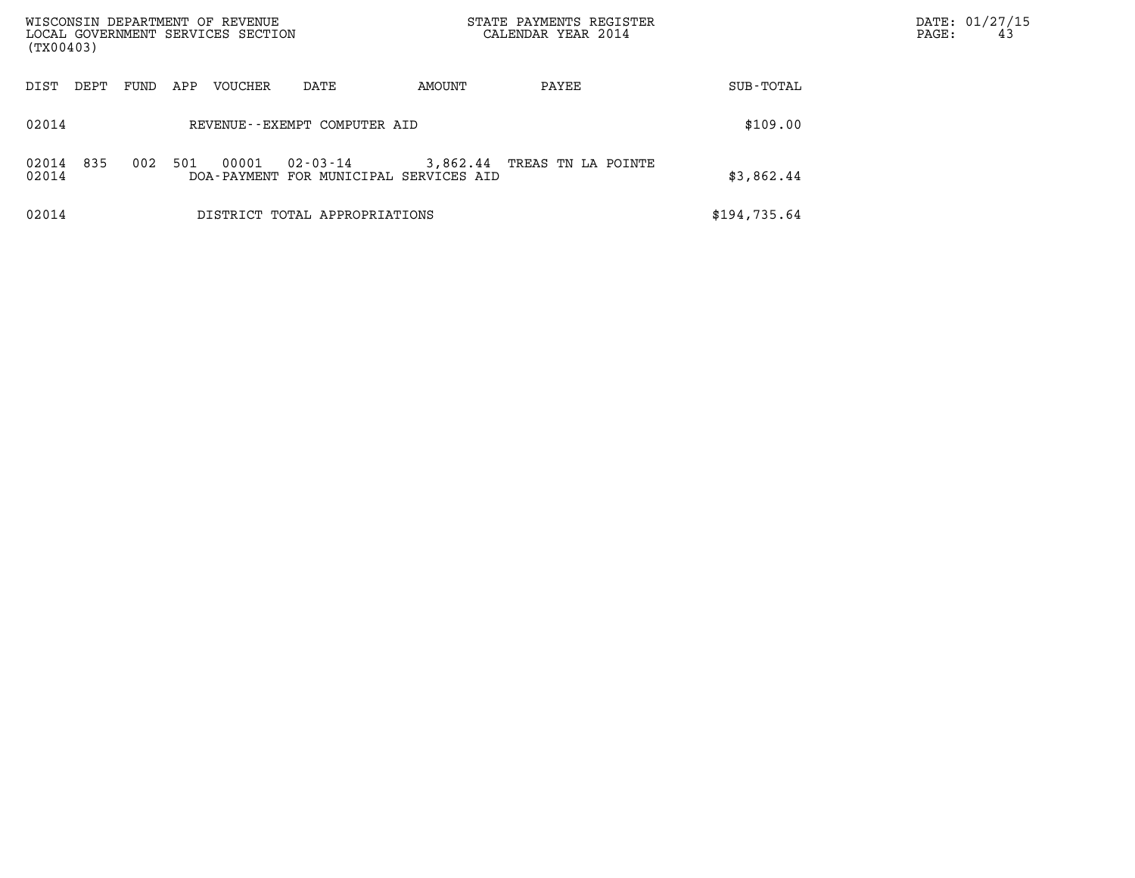| WISCONSIN DEPARTMENT OF REVENUE<br>LOCAL GOVERNMENT SERVICES SECTION<br>(TX00403) |      |     |         |                                                    |          | STATE PAYMENTS REGISTER<br>CALENDAR YEAR 2014 |              | DATE: 01/27/15<br>PAGE:<br>43 |
|-----------------------------------------------------------------------------------|------|-----|---------|----------------------------------------------------|----------|-----------------------------------------------|--------------|-------------------------------|
| DIST<br>DEPT                                                                      | FUND | APP | VOUCHER | DATE                                               | AMOUNT   | PAYEE                                         | SUB-TOTAL    |                               |
| 02014                                                                             |      |     |         | REVENUE--EXEMPT COMPUTER AID                       |          |                                               | \$109.00     |                               |
| 835<br>02014<br>02014                                                             | 002  | 501 | 00001   | 02-03-14<br>DOA-PAYMENT FOR MUNICIPAL SERVICES AID | 3,862.44 | TREAS TN LA POINTE                            | \$3,862.44   |                               |
| 02014                                                                             |      |     |         | DISTRICT TOTAL APPROPRIATIONS                      |          |                                               | \$194,735.64 |                               |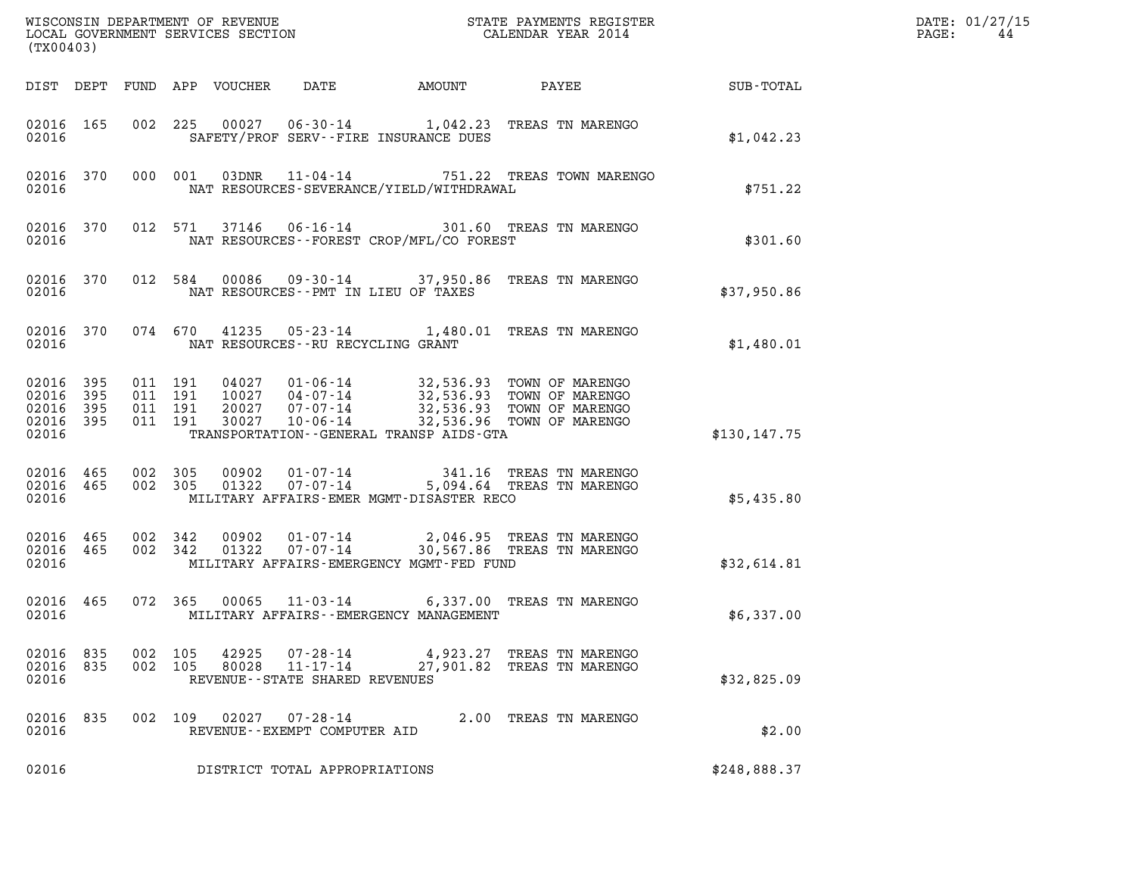| (TX00403)                                             |           |                    |                               |                            |                                                |                                            |                                                                                                                                                                        |              | DATE: 01/27/15<br>PAGE:<br>44 |
|-------------------------------------------------------|-----------|--------------------|-------------------------------|----------------------------|------------------------------------------------|--------------------------------------------|------------------------------------------------------------------------------------------------------------------------------------------------------------------------|--------------|-------------------------------|
|                                                       |           |                    |                               | DIST DEPT FUND APP VOUCHER | DATE                                           |                                            |                                                                                                                                                                        |              |                               |
| 02016                                                 | 02016 165 |                    |                               |                            |                                                | SAFETY/PROF SERV--FIRE INSURANCE DUES      | 002 225 00027 06-30-14 1,042.23 TREAS TN MARENGO                                                                                                                       | \$1,042.23   |                               |
| 02016                                                 | 02016 370 |                    |                               |                            |                                                | NAT RESOURCES-SEVERANCE/YIELD/WITHDRAWAL   | 000 001 03DNR 11-04-14 751.22 TREAS TOWN MARENGO                                                                                                                       | \$751.22     |                               |
| 02016                                                 | 02016 370 |                    |                               |                            |                                                | NAT RESOURCES--FOREST CROP/MFL/CO FOREST   | 012 571 37146 06-16-14 301.60 TREAS TN MARENGO                                                                                                                         | \$301.60     |                               |
| 02016                                                 |           |                    |                               |                            |                                                | NAT RESOURCES -- PMT IN LIEU OF TAXES      | 02016 370 012 584 00086 09-30-14 37,950.86 TREAS TN MARENGO                                                                                                            | \$37,950.86  |                               |
| 02016                                                 |           |                    |                               |                            | NAT RESOURCES--RU RECYCLING GRANT              |                                            | 02016 370 074 670 41235 05-23-14 1,480.01 TREAS TN MARENGO                                                                                                             | \$1,480.01   |                               |
| 02016 395<br>02016<br>02016 395<br>02016 395<br>02016 | 395       | 011 191            | 011 191<br>011 191<br>011 191 | 30027                      | 10-06-14                                       | TRANSPORTATION - - GENERAL TRANSP AIDS-GTA | 04027  01-06-14  32,536.93  TOWN OF MARENGO<br>10027  04-07-14  32,536.93  TOWN OF MARENGO<br>20027  07-07-14  32,536.93  TOWN OF MARENGO<br>32,536.96 TOWN OF MARENGO | \$130,147.75 |                               |
| 02016 465<br>02016                                    | 02016 465 | 002 305            | 002 305                       |                            |                                                | MILITARY AFFAIRS-EMER MGMT-DISASTER RECO   | 00902  01-07-14  341.16 TREAS TN MARENGO<br>01322  07-07-14  5,094.64 TREAS TN MARENGO                                                                                 | \$5,435.80   |                               |
| 02016                                                 | 02016 465 | 02016 465 002 342  | 002 342                       |                            |                                                | MILITARY AFFAIRS-EMERGENCY MGMT-FED FUND   | 00902  01-07-14  2,046.95  TREAS TN MARENGO<br>01322  07-07-14  30,567.86  TREAS TN MARENGO                                                                            | \$32,614.81  |                               |
| 02016                                                 | 02016 465 |                    |                               |                            |                                                | MILITARY AFFAIRS - - EMERGENCY MANAGEMENT  | 072 365 00065 11-03-14 6,337.00 TREAS TN MARENGO                                                                                                                       | \$6,337.00   |                               |
| 02016 835<br>02016 835<br>02016                       |           | 002 105<br>002 105 |                               | 42925<br>80028             | 11-17-14<br>REVENUE - - STATE SHARED REVENUES  |                                            | 07-28-14 4,923.27 TREAS TN MARENGO<br>27,901.82 TREAS TN MARENGO                                                                                                       | \$32,825.09  |                               |
| 02016 835<br>02016                                    |           | 002 109            |                               | 02027                      | $07 - 28 - 14$<br>REVENUE--EXEMPT COMPUTER AID |                                            | 2.00 TREAS TN MARENGO                                                                                                                                                  | \$2.00       |                               |
| 02016                                                 |           |                    |                               |                            | DISTRICT TOTAL APPROPRIATIONS                  |                                            |                                                                                                                                                                        | \$248,888.37 |                               |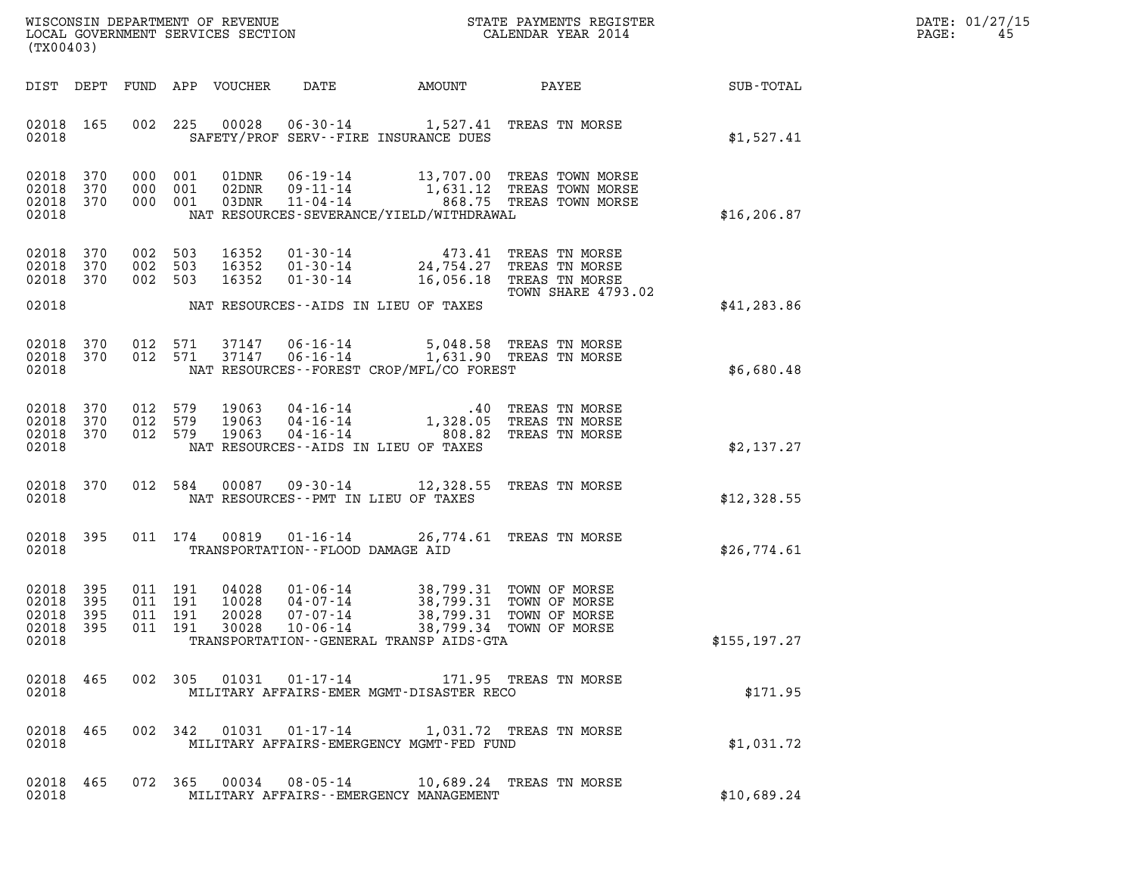| DATE: | 01/27/15 |
|-------|----------|
| PAGE: | 45       |

| (TX00403)                                                                                        | ${\tt WISCOONSIM} \begin{tabular}{lcccc} \texttt{WE} & \texttt{WE} & \texttt{WE} & \texttt{WE} & \texttt{WIC} & \texttt{S} \\ \texttt{NOCAL GOVERNMENT} & \texttt{SERVICES} & \texttt{SECTION} & \texttt{WIC} & \texttt{CALENDAR} & \texttt{YEAR} & 2014 \\ \end{tabular}$ |                                                                                                      |                                         | DATE: 01/27/15<br>PAGE:<br>45 |
|--------------------------------------------------------------------------------------------------|----------------------------------------------------------------------------------------------------------------------------------------------------------------------------------------------------------------------------------------------------------------------------|------------------------------------------------------------------------------------------------------|-----------------------------------------|-------------------------------|
| DIST DEPT                                                                                        | FUND APP VOUCHER<br>DATE<br>AMOUNT                                                                                                                                                                                                                                         |                                                                                                      | <b>PAYEE</b> FOR THE PAYEE<br>SUB-TOTAL |                               |
| 02018 165<br>002<br>02018                                                                        | 00028<br>225<br>SAFETY/PROF SERV--FIRE INSURANCE DUES                                                                                                                                                                                                                      | 06-30-14 1,527.41 TREAS TN MORSE                                                                     | \$1,527.41                              |                               |
| 02018 370<br>000 001<br>02018<br>370<br>000 001<br>02018 370<br>000 001<br>02018                 | 01DNR<br>02DNR<br>03DNR<br>$11 - 04 - 14$<br>NAT RESOURCES-SEVERANCE/YIELD/WITHDRAWAL                                                                                                                                                                                      | 06-19-14 13,707.00 TREAS TOWN MORSE<br>09-11-14 1,631.12 TREAS TOWN MORSE<br>868.75 TREAS TOWN MORSE | \$16, 206.87                            |                               |
| 02018 370<br>002 503<br>02018<br>370<br>002<br>02018 370<br>002 503                              | 16352<br>$01 - 30 - 14$<br>503<br>16352<br>$01 - 30 - 14$<br>16352<br>$01 - 30 - 14$                                                                                                                                                                                       | 473.41 TREAS TN MORSE<br>24,754.27<br>TREAS TN MORSE<br>16,056.18 TREAS TN MORSE                     | TOWN SHARE 4793.02                      |                               |
| 02018                                                                                            | NAT RESOURCES--AIDS IN LIEU OF TAXES                                                                                                                                                                                                                                       |                                                                                                      | \$41, 283.86                            |                               |
| 02018<br>012 571<br>370<br>02018 370<br>012 571<br>02018                                         | 37147<br>$06 - 16 - 14$<br>37147<br>$06 - 16 - 14$<br>NAT RESOURCES--FOREST CROP/MFL/CO FOREST                                                                                                                                                                             | 5,048.58 TREAS TN MORSE<br>1,631.90 TREAS TN MORSE                                                   | \$6,680.48                              |                               |
| 02018 370<br>012 579<br>02018<br>370<br>012 579<br>02018 370<br>012 579<br>02018                 | 19063<br>$04 - 16 - 14$<br>$04 - 16 - 14$<br>1,3<br>19063<br>19063<br>04-16-14<br>NAT RESOURCES--AIDS IN LIEU OF TAXES                                                                                                                                                     | .40 TREAS TN MORSE<br>1,328.05<br>TREAS TN MORSE<br>808.82<br>TREAS TN MORSE                         | \$2,137.27                              |                               |
| 02018 370<br>012 584<br>02018                                                                    | 00087<br>NAT RESOURCES -- PMT IN LIEU OF TAXES                                                                                                                                                                                                                             | 09-30-14 12,328.55 TREAS TN MORSE                                                                    | \$12,328.55                             |                               |
| 02018 395<br>02018                                                                               | 011 174<br>00819<br>$01 - 16 - 14$<br>TRANSPORTATION--FLOOD DAMAGE AID                                                                                                                                                                                                     | 26,774.61 TREAS TN MORSE                                                                             | \$26,774.61                             |                               |
| 02018<br>395<br>011 191<br>395<br>02018<br>011 191<br>02018 395<br>011 191<br>02018 395<br>02018 | 04028<br>$01 - 06 - 14$<br>10028<br>$04 - 07 - 14$<br>20028<br>07-07-14<br>011  191  30028  10-06-14  38,799.34  TOWN OF MORSE<br>TRANSPORTATION--GENERAL TRANSP AIDS-GTA                                                                                                  | 38,799.31 TOWN OF MORSE<br>38,799.31 TOWN OF MORSE<br>38,799.31 TOWN OF MORSE                        | \$155, 197.27                           |                               |
| 02018 465<br>02018                                                                               | 002 305 01031 01-17-14 171.95 TREAS TN MORSE<br>MILITARY AFFAIRS-EMER MGMT-DISASTER RECO                                                                                                                                                                                   |                                                                                                      | \$171.95                                |                               |
| 02018 465<br>02018                                                                               | 002 342 01031 01-17-14 1,031.72 TREAS TN MORSE<br>MILITARY AFFAIRS-EMERGENCY MGMT-FED FUND                                                                                                                                                                                 |                                                                                                      | \$1,031.72                              |                               |
| 02018 465<br>02018                                                                               | 072 365 00034 08-05-14 10,689.24 TREAS TN MORSE<br>MILITARY AFFAIRS - - EMERGENCY MANAGEMENT                                                                                                                                                                               |                                                                                                      | \$10,689.24                             |                               |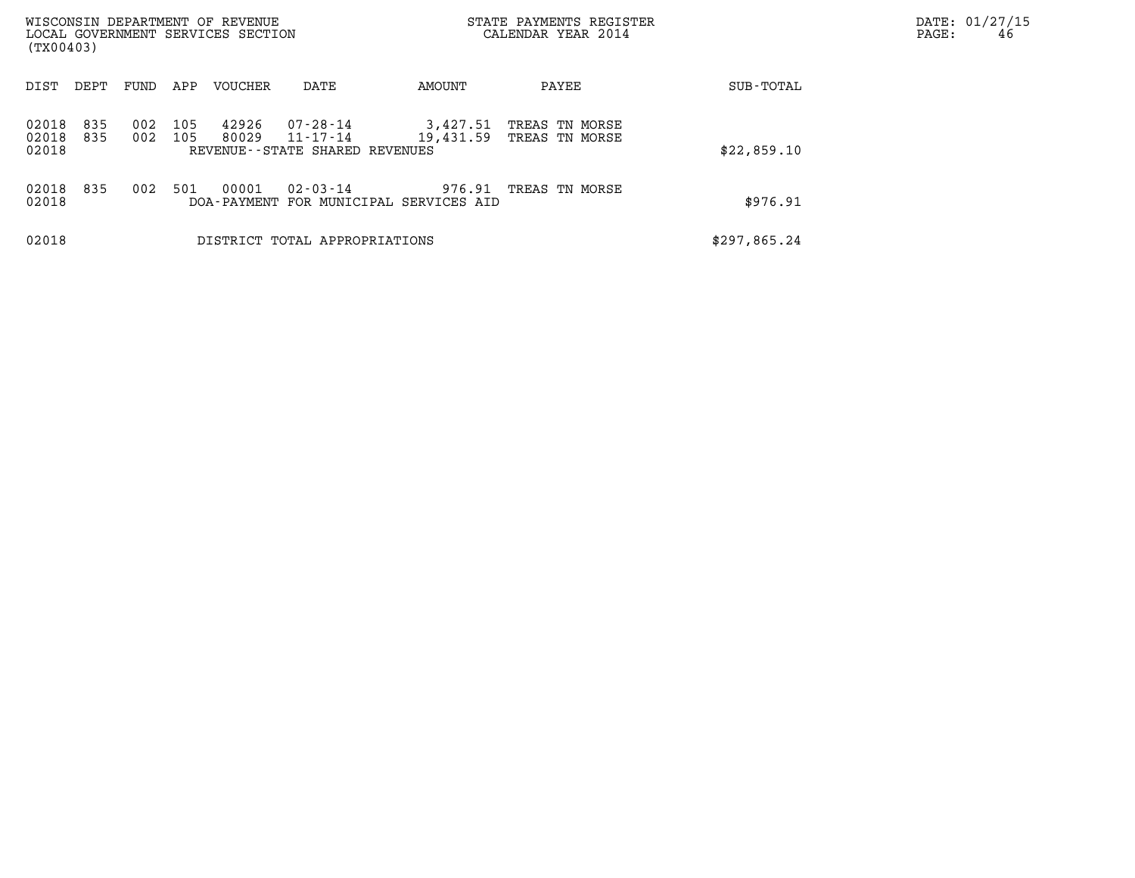| (TX00403)               |            |            |            | WISCONSIN DEPARTMENT OF REVENUE<br>LOCAL GOVERNMENT SERVICES SECTION |                                                        | STATE PAYMENTS REGISTER<br>CALENDAR YEAR 2014    |                                  |              | DATE: 01/27/15<br>46<br>PAGE: |
|-------------------------|------------|------------|------------|----------------------------------------------------------------------|--------------------------------------------------------|--------------------------------------------------|----------------------------------|--------------|-------------------------------|
| DIST                    | DEPT       | FUND       | APP        | <b>VOUCHER</b>                                                       | DATE                                                   | AMOUNT                                           | PAYEE                            | SUB-TOTAL    |                               |
| 02018<br>02018<br>02018 | 835<br>835 | 002<br>002 | 105<br>105 | 42926<br>80029                                                       | 07-28-14<br>11-17-14<br>REVENUE--STATE SHARED REVENUES | 3,427.51<br>19,431.59                            | TREAS TN MORSE<br>TREAS TN MORSE | \$22,859.10  |                               |
| 02018<br>02018          | 835        | 002        | 501        | 00001                                                                | $02 - 03 - 14$                                         | 976.91<br>DOA-PAYMENT FOR MUNICIPAL SERVICES AID | TREAS TN MORSE                   | \$976.91     |                               |
| 02018                   |            |            |            |                                                                      | DISTRICT TOTAL APPROPRIATIONS                          |                                                  |                                  | \$297,865.24 |                               |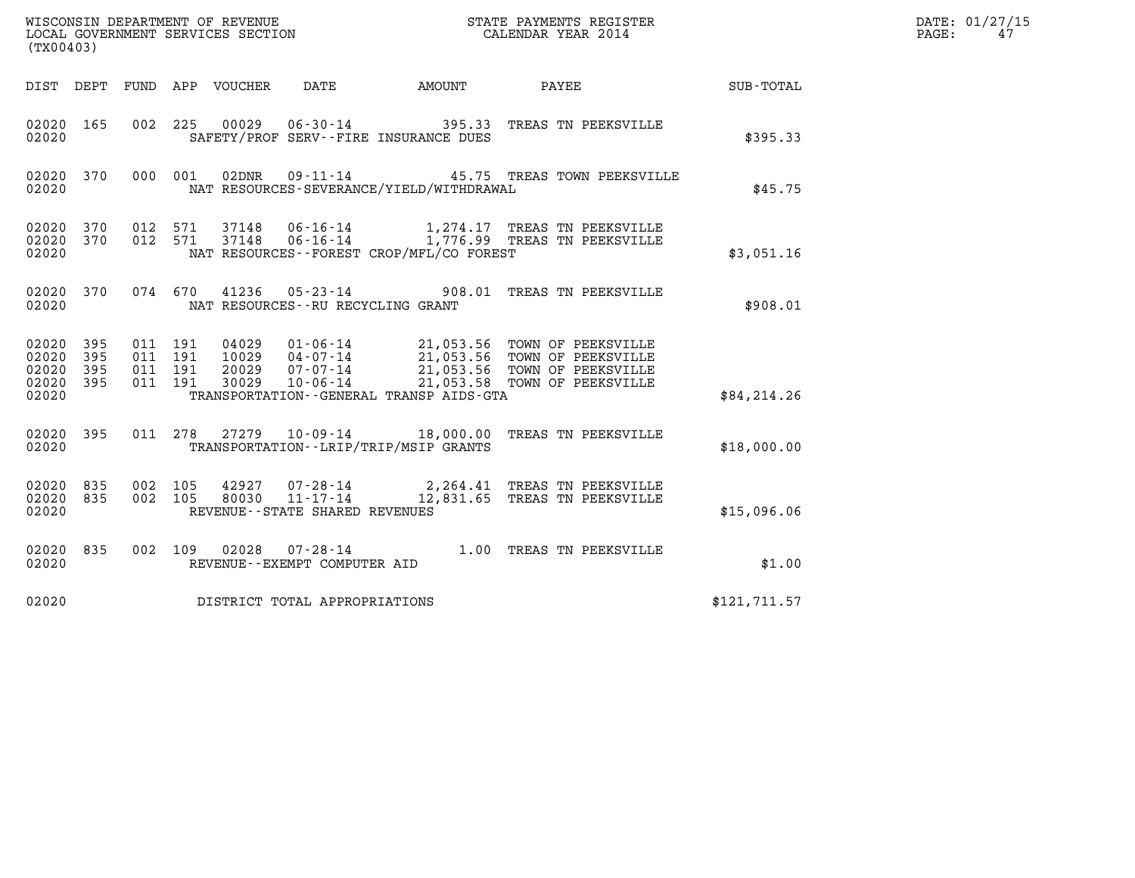| WISCONSIN DEPARTMENT OF REVENUE   | STATE PAYMENTS REGISTER | DATE: 01/27/15 |
|-----------------------------------|-------------------------|----------------|
| LOCAL GOVERNMENT SERVICES SECTION | CALENDAR YEAR 2014      | PAGE:          |

| (TX00403)                                                                                         | WISCONSIN DEPARTMENT OF REVENUE<br>STATE PAYMENTS REGISTER<br>LOCAL GOVERNMENT SERVICES SECTION<br>CALENDAR YEAR 2014                                                                        |                                                                                                                                   |  |  |  |  |  |  |
|---------------------------------------------------------------------------------------------------|----------------------------------------------------------------------------------------------------------------------------------------------------------------------------------------------|-----------------------------------------------------------------------------------------------------------------------------------|--|--|--|--|--|--|
| <b>FUND</b><br>DIST<br>DEPT                                                                       | APP<br>VOUCHER<br>DATE<br><b>AMOUNT</b>                                                                                                                                                      | PAYEE<br>SUB-TOTAL                                                                                                                |  |  |  |  |  |  |
| 02020<br>165<br>002<br>02020                                                                      | 225<br>00029<br>$06 - 30 - 14$<br>SAFETY/PROF SERV--FIRE INSURANCE DUES                                                                                                                      | 395.33<br>TREAS TN PEEKSVILLE<br>\$395.33                                                                                         |  |  |  |  |  |  |
| 02020<br>370<br>000<br>02020                                                                      | 001<br>02DNR<br>$09 - 11 - 14$<br>NAT RESOURCES-SEVERANCE/YIELD/WITHDRAWAL                                                                                                                   | 45.75 TREAS TOWN PEEKSVILLE<br>\$45.75                                                                                            |  |  |  |  |  |  |
| 02020<br>370<br>012<br>02020<br>370<br>012<br>02020                                               | 571<br>$06 - 16 - 14$<br>37148<br>1,274.17<br>571<br>37148<br>NAT RESOURCES - - FOREST CROP/MFL/CO FOREST                                                                                    | TREAS TN PEEKSVILLE<br>06-16-14 1,776.99 TREAS TN PEEKSVILLE<br>\$3,051.16                                                        |  |  |  |  |  |  |
| 370<br>074<br>02020<br>02020                                                                      | 670<br>41236<br>$05 - 23 - 14$ 908.01<br>NAT RESOURCES - - RU RECYCLING GRANT                                                                                                                | TREAS TN PEEKSVILLE<br>\$908.01                                                                                                   |  |  |  |  |  |  |
| 02020<br>395<br>011<br>02020<br>395<br>011<br>02020<br>395<br>011<br>02020<br>395<br>011<br>02020 | 191<br>04029<br>$01 - 06 - 14$<br>$04 - 07 - 14$<br>191<br>10029<br>20029<br>$07 - 07 - 14$<br>191<br>21,053.58<br>191<br>30029<br>$10 - 06 - 14$<br>TRANSPORTATION--GENERAL TRANSP AIDS-GTA | 21,053.56 TOWN OF PEEKSVILLE<br>21,053.56 TOWN OF PEEKSVILLE<br>21,053.56 TOWN OF PEEKSVILLE<br>TOWN OF PEEKSVILLE<br>\$84,214.26 |  |  |  |  |  |  |
| 02020<br>395<br>011<br>02020                                                                      | 278<br>27279<br>$10 - 09 - 14$ 18,000.00<br>TRANSPORTATION - - LRIP/TRIP/MSIP GRANTS                                                                                                         | TREAS TN PEEKSVILLE<br>\$18,000.00                                                                                                |  |  |  |  |  |  |
| 002<br>02020<br>835<br>02020<br>835<br>002<br>02020                                               | 105<br>42927<br>$07 - 28 - 14$<br>$11 - 17 - 14$<br>12,831.65<br>105<br>80030<br>REVENUE - - STATE SHARED REVENUES                                                                           | 2,264.41 TREAS TN PEEKSVILLE<br>TREAS TN PEEKSVILLE<br>\$15,096.06                                                                |  |  |  |  |  |  |
| 02020<br>835<br>002<br>02020                                                                      | 109<br>02028<br>$07 - 28 - 14$<br>REVENUE - - EXEMPT COMPUTER AID                                                                                                                            | 1.00<br>TREAS TN PEEKSVILLE<br>\$1.00                                                                                             |  |  |  |  |  |  |
| 02020                                                                                             | DISTRICT TOTAL APPROPRIATIONS                                                                                                                                                                | \$121,711.57                                                                                                                      |  |  |  |  |  |  |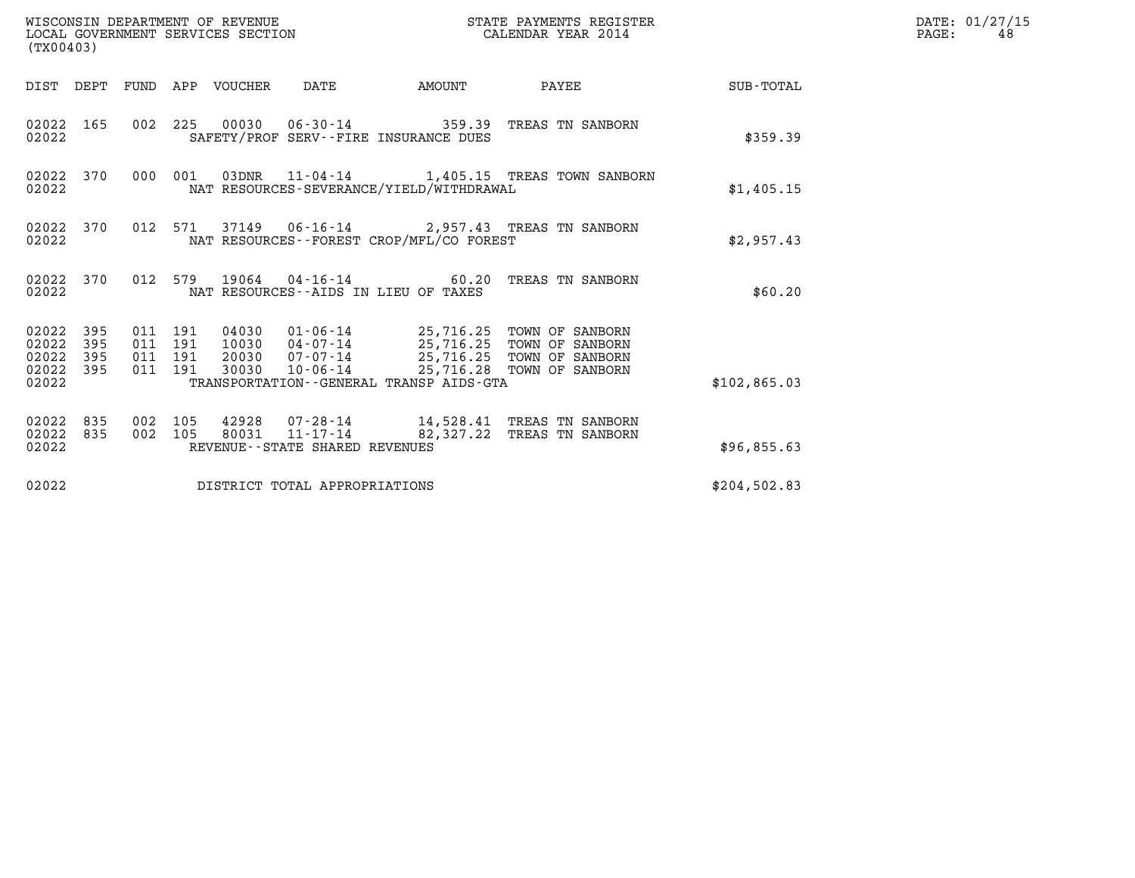| (TX00403)                                         |            |                    |                               | WISCONSIN DEPARTMENT OF REVENUE<br>LOCAL GOVERNMENT SERVICES SECTION |                                                  |                                              | STATE PAYMENTS REGISTER<br>CALENDAR YEAR 2014                                                                                                                                   |                      | DATE: 01/27/15<br>$\mathtt{PAGE:}$<br>48 |
|---------------------------------------------------|------------|--------------------|-------------------------------|----------------------------------------------------------------------|--------------------------------------------------|----------------------------------------------|---------------------------------------------------------------------------------------------------------------------------------------------------------------------------------|----------------------|------------------------------------------|
|                                                   |            |                    |                               | DIST DEPT FUND APP VOUCHER DATE                                      |                                                  | <b>AMOUNT</b>                                | PAYEE                                                                                                                                                                           | $\texttt{SUB-TOTAL}$ |                                          |
| 02022                                             | 02022 165  |                    |                               |                                                                      |                                                  | SAFETY/PROF SERV--FIRE INSURANCE DUES        | 002 225 00030 06-30-14 359.39 TREAS TN SANBORN                                                                                                                                  | \$359.39             |                                          |
| 02022                                             | 02022 370  |                    | 000 001                       |                                                                      |                                                  | NAT RESOURCES-SEVERANCE/YIELD/WITHDRAWAL     | 03DNR 11-04-14 1,405.15 TREAS TOWN SANBORN                                                                                                                                      | \$1,405.15           |                                          |
| 02022                                             | 02022 370  |                    |                               |                                                                      |                                                  | NAT RESOURCES--FOREST CROP/MFL/CO FOREST     | 012 571 37149 06-16-14 2,957.43 TREAS TN SANBORN                                                                                                                                | \$2,957.43           |                                          |
| 02022                                             | 02022 370  |                    |                               |                                                                      |                                                  | NAT RESOURCES -- AIDS IN LIEU OF TAXES       | 012 579 19064 04-16-14 60.20 TREAS TN SANBORN                                                                                                                                   | \$60.20              |                                          |
| 02022 395<br>02022<br>02022<br>02022 395<br>02022 | 395<br>395 | 011 191            | 011 191<br>011 191<br>011 191 |                                                                      |                                                  | TRANSPORTATION - - GENERAL TRANSP AIDS - GTA | 04030  01-06-14  25,716.25  TOWN OF SANBORN<br>10030 04-07-14 25,716.25 TOWN OF SANBORN<br>20030 07-07-14 25,716.25 TOWN OF SANBORN<br>30030 10-06-14 25,716.28 TOWN OF SANBORN | \$102,865.03         |                                          |
| 02022 835<br>02022 835<br>02022                   |            | 002 105<br>002 105 |                               |                                                                      | 80031 11-17-14<br>REVENUE--STATE SHARED REVENUES |                                              | 42928 07-28-14 14,528.41 TREAS TN SANBORN<br>82,327.22 TREAS TN SANBORN                                                                                                         | \$96,855.63          |                                          |
| 02022                                             |            |                    |                               |                                                                      | DISTRICT TOTAL APPROPRIATIONS                    |                                              |                                                                                                                                                                                 | \$204,502.83         |                                          |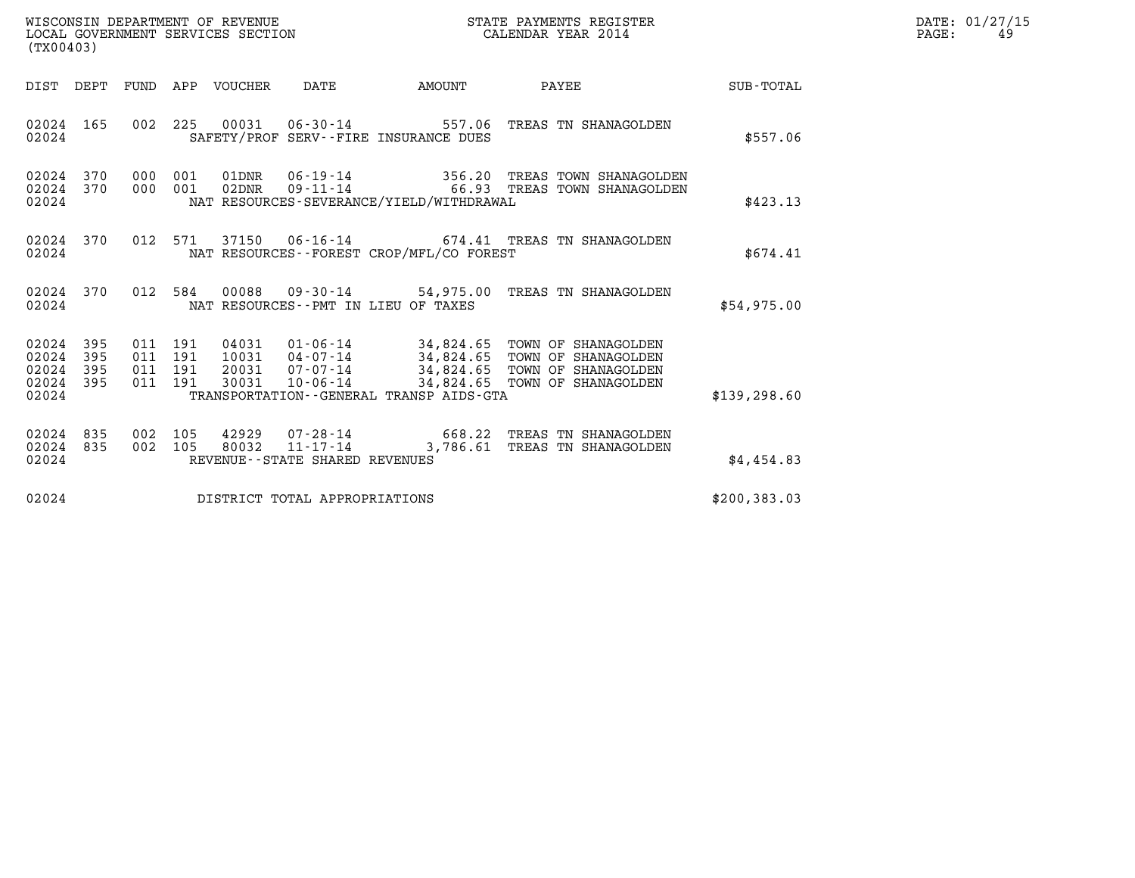| WISCONSIN DEPARTMENT OF REVENUE   | STATE PAYMENTS REGISTER | DATE: 01/27/15 |
|-----------------------------------|-------------------------|----------------|
| LOCAL GOVERNMENT SERVICES SECTION | CALENDAR YEAR 2014      | PAGE:          |

| (TX00403)                                     |                   |     |                |                        |                                |                                             |                                                                                 |               | DATE: 01/27/15<br>PAGE:<br>49 |
|-----------------------------------------------|-------------------|-----|----------------|------------------------|--------------------------------|---------------------------------------------|---------------------------------------------------------------------------------|---------------|-------------------------------|
|                                               |                   |     |                |                        |                                | DIST DEPT FUND APP VOUCHER DATE AMOUNT      | PAYEE                                                                           | SUB-TOTAL     |                               |
| 02024 165<br>02024                            |                   |     |                |                        |                                | SAFETY/PROF SERV--FIRE INSURANCE DUES       | 002 225 00031 06-30-14 557.06 TREAS TN SHANAGOLDEN                              | \$557.06      |                               |
| 02024<br>02024 370<br>02024                   | 370               | 000 | 001<br>000 001 | 01DNR<br>02DNR         |                                | NAT RESOURCES-SEVERANCE/YIELD/WITHDRAWAL    | 06-19-14 356.20 TREAS TOWN SHANAGOLDEN<br>09-11-14 66.93 TREAS TOWN SHANAGOLDEN | \$423.13      |                               |
| 02024<br>02024                                | 370               |     |                |                        |                                | NAT RESOURCES - - FOREST CROP/MFL/CO FOREST | 012 571 37150 06-16-14 674.41 TREAS TN SHANAGOLDEN                              | \$674.41      |                               |
| 02024                                         | 02024 370         |     |                |                        |                                | NAT RESOURCES -- PMT IN LIEU OF TAXES       | 012 584 00088 09-30-14 54,975.00 TREAS TN SHANAGOLDEN                           | \$54,975.00   |                               |
| 02024<br>02024<br>02024<br>02024 395<br>02024 | 395<br>395<br>395 |     |                |                        |                                | TRANSPORTATION--GENERAL TRANSP AIDS-GTA     |                                                                                 | \$139, 298.60 |                               |
| 02024<br>02024<br>02024                       | 835<br>835        |     | 002 105        | 002 105 42929<br>80032 | REVENUE--STATE SHARED REVENUES |                                             | 07-28-14 668.22 TREAS TN SHANAGOLDEN<br>11-17-14 3,786.61 TREAS TN SHANAGOLDEN  | \$4,454.83    |                               |
| 02024                                         |                   |     |                |                        | DISTRICT TOTAL APPROPRIATIONS  |                                             |                                                                                 | \$200, 383.03 |                               |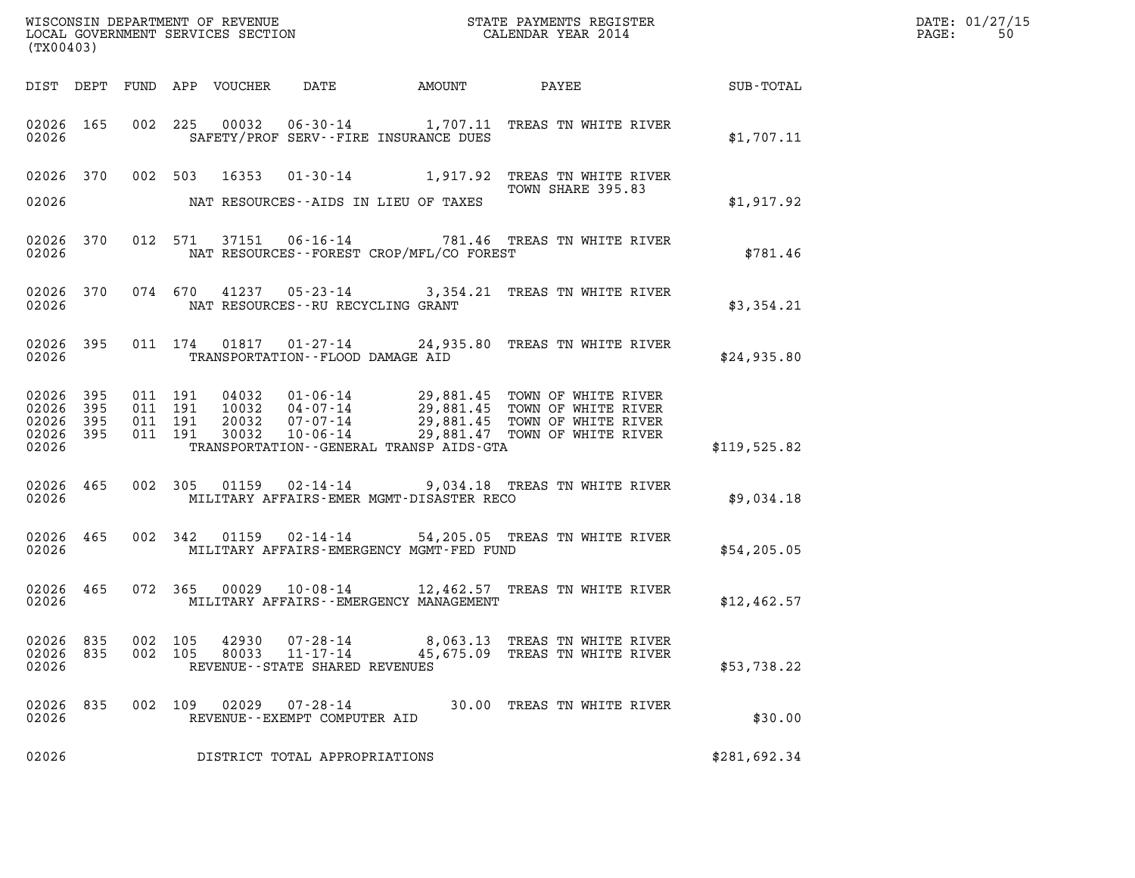| $\mathtt{DATE}$ : | 01/27/15 |
|-------------------|----------|
| PAGE:             | 50       |

| (TX00403)                                                 |     |                |                                          |                                 |                                                        |                                           | WISCONSIN DEPARTMENT OF REVENUE<br>LOCAL GOVERNMENT SERVICES SECTION<br>(TWO 402)                                                                                                                        |              | DATE: 01/27/15<br>PAGE:<br>50 |
|-----------------------------------------------------------|-----|----------------|------------------------------------------|---------------------------------|--------------------------------------------------------|-------------------------------------------|----------------------------------------------------------------------------------------------------------------------------------------------------------------------------------------------------------|--------------|-------------------------------|
|                                                           |     |                |                                          | DIST DEPT FUND APP VOUCHER DATE |                                                        |                                           |                                                                                                                                                                                                          |              |                               |
| 02026                                                     |     |                |                                          |                                 |                                                        | SAFETY/PROF SERV--FIRE INSURANCE DUES     | 02026 165 002 225 00032 06-30-14 1,707.11 TREAS TN WHITE RIVER                                                                                                                                           | \$1,707.11   |                               |
|                                                           |     |                |                                          |                                 |                                                        |                                           | 02026 370 002 503 16353 01-30-14 1,917.92 TREAS TN WHITE RIVER<br>TOWN SHARE 395.83                                                                                                                      |              |                               |
| 02026                                                     |     |                |                                          |                                 |                                                        | NAT RESOURCES--AIDS IN LIEU OF TAXES      |                                                                                                                                                                                                          | \$1,917.92   |                               |
| 02026                                                     |     |                |                                          |                                 |                                                        | NAT RESOURCES--FOREST CROP/MFL/CO FOREST  | 02026 370 012 571 37151 06-16-14 781.46 TREAS TN WHITE RIVER                                                                                                                                             | \$781.46     |                               |
| 02026                                                     |     |                |                                          |                                 |                                                        | NAT RESOURCES--RU RECYCLING GRANT         | 02026 370 074 670 41237 05-23-14 3,354.21 TREAS TN WHITE RIVER                                                                                                                                           | \$3,354.21   |                               |
| 02026                                                     |     |                |                                          |                                 |                                                        | TRANSPORTATION--FLOOD DAMAGE AID          | 02026 395 011 174 01817 01-27-14 24,935.80 TREAS TN WHITE RIVER                                                                                                                                          | \$24,935.80  |                               |
| 02026 395<br>02026 395<br>02026 395<br>02026 395<br>02026 |     |                | 011 191<br>011 191<br>011 191<br>011 191 |                                 |                                                        | TRANSPORTATION--GENERAL TRANSP AIDS-GTA   | 04032  01-06-14  29,881.45  TOWN OF WHITE RIVER<br>10032  04-07-14  29,881.45  TOWN OF WHITE RIVER<br>20032  07-07-14  29,881.45  TOWN OF WHITE RIVER<br>30032  10-06-14  29,881.47  TOWN OF WHITE RIVER | \$119,525.82 |                               |
| 02026 465<br>02026                                        |     |                |                                          |                                 |                                                        | MILITARY AFFAIRS-EMER MGMT-DISASTER RECO  | 002 305 01159 02-14-14 9,034.18 TREAS TN WHITE RIVER                                                                                                                                                     | \$9,034.18   |                               |
| 02026 465<br>02026                                        |     |                |                                          |                                 |                                                        | MILITARY AFFAIRS-EMERGENCY MGMT-FED FUND  | 002 342 01159 02-14-14 54,205.05 TREAS TN WHITE RIVER                                                                                                                                                    | \$54,205.05  |                               |
| 02026 465<br>02026                                        |     |                |                                          |                                 |                                                        | MILITARY AFFAIRS - - EMERGENCY MANAGEMENT | 072 365 00029 10-08-14 12,462.57 TREAS TN WHITE RIVER                                                                                                                                                    | \$12,462.57  |                               |
| 02026 835<br>02026<br>02026                               | 835 | 002<br>002 105 | 105                                      | 42930<br>80033                  | 07-28-14<br>11-17-14<br>REVENUE--STATE SHARED REVENUES |                                           | 8,063.13 TREAS TN WHITE RIVER<br>45,675.09 TREAS TN WHITE RIVER                                                                                                                                          | \$53,738.22  |                               |
| 02026<br>02026                                            | 835 | 002 109        |                                          | 02029                           | 07-28-14<br>REVENUE--EXEMPT COMPUTER AID               |                                           | 30.00 TREAS TN WHITE RIVER                                                                                                                                                                               | \$30.00      |                               |
| 02026                                                     |     |                |                                          |                                 | DISTRICT TOTAL APPROPRIATIONS                          |                                           |                                                                                                                                                                                                          | \$281,692.34 |                               |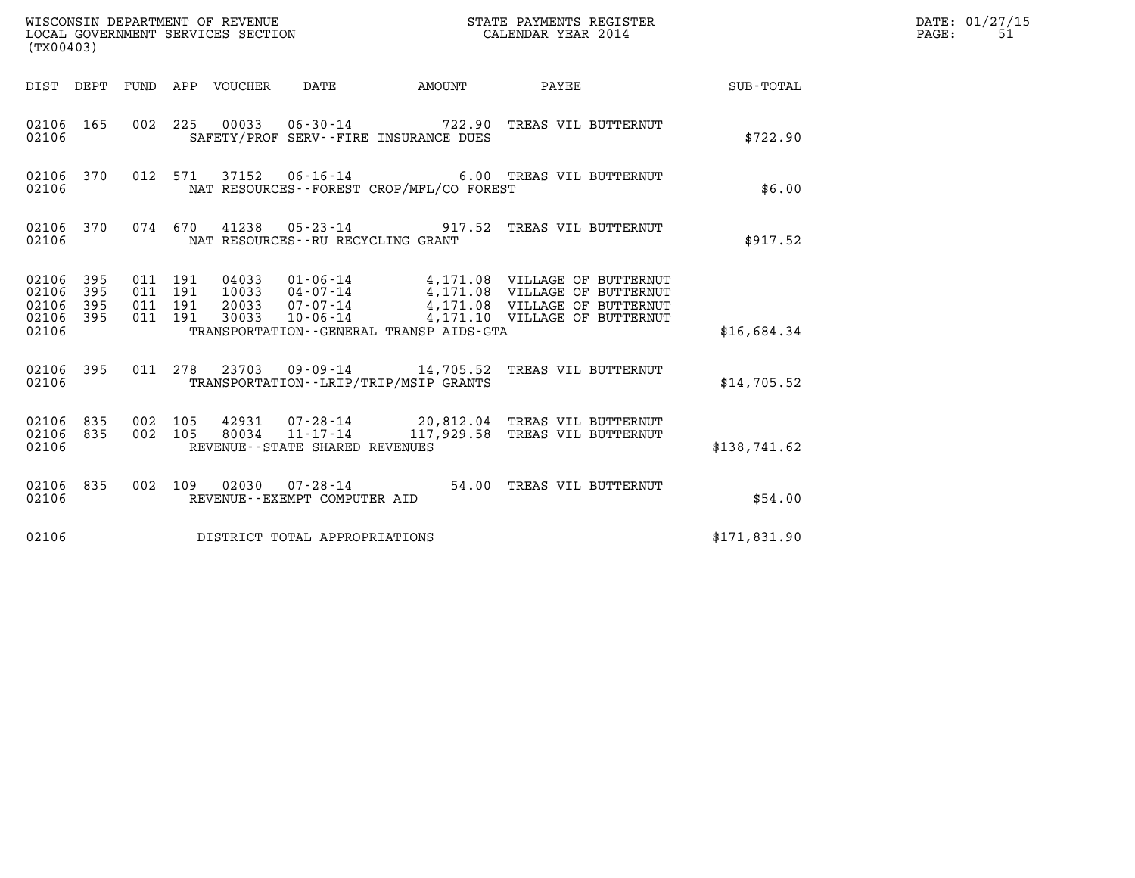| (TX00403)                                     |                   |                                          |                                 | WISCONSIN DEPARTMENT OF REVENUE<br>LOCAL GOVERNMENT SERVICES SECTION |                                          | STATE PAYMENTS REGISTER<br>CALENDAR YEAR 2014                                                                                                                                                            |              | DATE: 01/27/15<br>$\mathtt{PAGE:}$<br>51 |
|-----------------------------------------------|-------------------|------------------------------------------|---------------------------------|----------------------------------------------------------------------|------------------------------------------|----------------------------------------------------------------------------------------------------------------------------------------------------------------------------------------------------------|--------------|------------------------------------------|
|                                               |                   |                                          | DIST DEPT FUND APP VOUCHER DATE |                                                                      | AMOUNT PAYEE                             |                                                                                                                                                                                                          | SUB-TOTAL    |                                          |
| 02106 165<br>02106                            |                   |                                          |                                 |                                                                      | SAFETY/PROF SERV--FIRE INSURANCE DUES    | 002 225 00033 06-30-14 722.90 TREAS VIL BUTTERNUT                                                                                                                                                        | \$722.90     |                                          |
| 02106                                         | 02106 370         |                                          |                                 | 012 571 37152 06-16-14                                               | NAT RESOURCES--FOREST CROP/MFL/CO FOREST | 6.00 TREAS VIL BUTTERNUT                                                                                                                                                                                 | \$6.00       |                                          |
| 02106                                         | 02106 370         |                                          |                                 |                                                                      | NAT RESOURCES - - RU RECYCLING GRANT     | 074 670 41238 05-23-14 917.52 TREAS VIL BUTTERNUT                                                                                                                                                        | \$917.52     |                                          |
| 02106 395<br>02106<br>02106<br>02106<br>02106 | 395<br>395<br>395 | 011 191<br>011 191<br>011 191<br>011 191 |                                 |                                                                      | TRANSPORTATION--GENERAL TRANSP AIDS-GTA  | 04033  01-06-14  4,171.08  VILLAGE OF BUTTERNUT<br>10033  04-07-14  4,171.08  VILLAGE OF BUTTERNUT<br>20033  07-07-14  4,171.08  VILLAGE OF BUTTERNUT<br>30033  10-06-14  4,171.10  VILLAGE OF BUTTERNUT | \$16,684.34  |                                          |
| 02106                                         | 02106 395         |                                          |                                 |                                                                      | TRANSPORTATION - - LRIP/TRIP/MSIP GRANTS | 011  278  23703  09-09-14  14,705.52  TREAS VIL BUTTERNUT                                                                                                                                                | \$14,705.52  |                                          |
| 02106 835<br>02106 835<br>02106               |                   | 002 105<br>002 105                       |                                 | REVENUE - - STATE SHARED REVENUES                                    |                                          | 42931  07-28-14  20,812.04 TREAS VIL BUTTERNUT<br>80034  11-17-14  117,929.58 TREAS VIL BUTTERNUT                                                                                                        | \$138,741.62 |                                          |
| 02106 835<br>02106                            |                   |                                          |                                 | REVENUE--EXEMPT COMPUTER AID                                         |                                          | 002 109 02030 07-28-14 54.00 TREAS VIL BUTTERNUT                                                                                                                                                         | \$54.00      |                                          |
| 02106                                         |                   |                                          |                                 | DISTRICT TOTAL APPROPRIATIONS                                        |                                          |                                                                                                                                                                                                          | \$171,831.90 |                                          |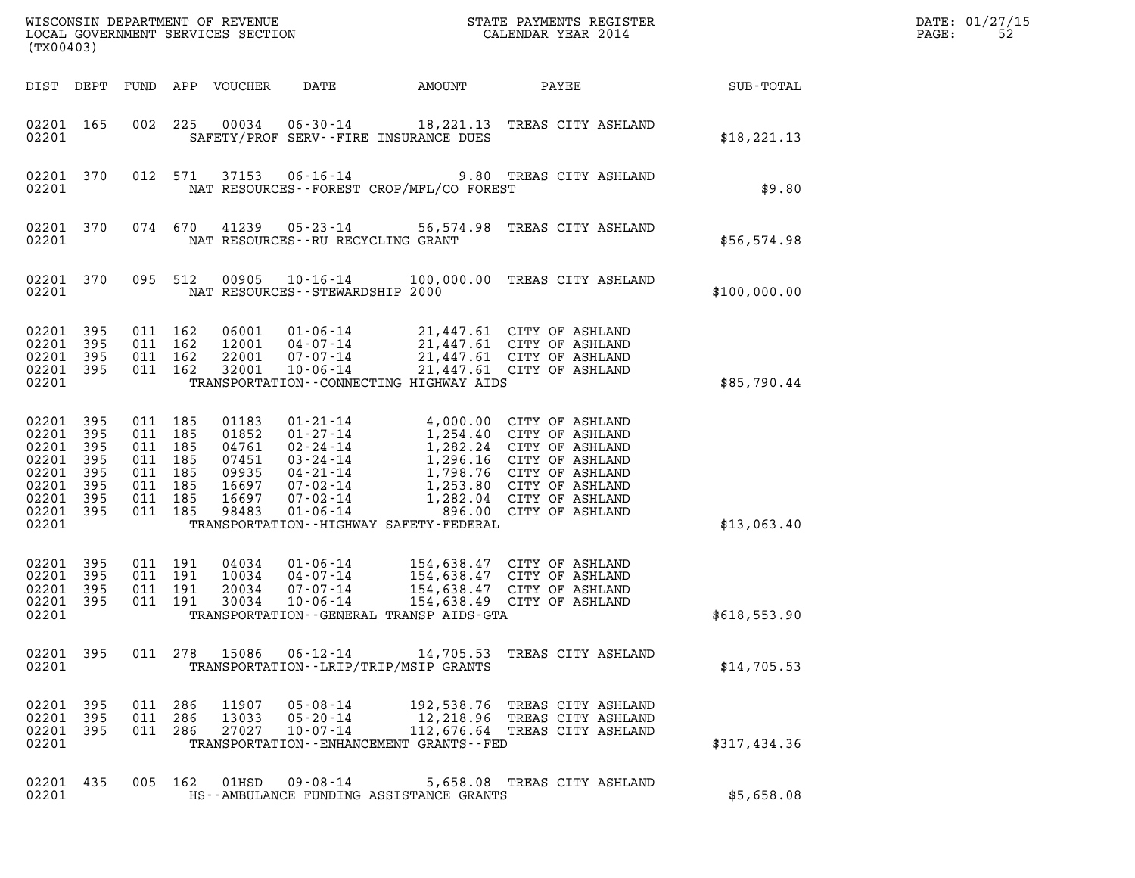| (TX00403)                                                                             |                                          |                                                                                      |                                                                      |                                                                                                                                                                     |        |                                                                                                                                                                                                                                                        |              | DATE: 01/27/15<br>PAGE:<br>52 |
|---------------------------------------------------------------------------------------|------------------------------------------|--------------------------------------------------------------------------------------|----------------------------------------------------------------------|---------------------------------------------------------------------------------------------------------------------------------------------------------------------|--------|--------------------------------------------------------------------------------------------------------------------------------------------------------------------------------------------------------------------------------------------------------|--------------|-------------------------------|
|                                                                                       |                                          |                                                                                      | DIST DEPT FUND APP VOUCHER                                           | DATE                                                                                                                                                                | AMOUNT | PAYEE                                                                                                                                                                                                                                                  | SUB-TOTAL    |                               |
| 02201 165<br>02201                                                                    |                                          | 002 225                                                                              | 00034                                                                | $06 - 30 - 14$<br>SAFETY/PROF SERV--FIRE INSURANCE DUES                                                                                                             |        | 18,221.13 TREAS CITY ASHLAND                                                                                                                                                                                                                           | \$18, 221.13 |                               |
| 02201 370<br>02201                                                                    |                                          | 012 571                                                                              | 37153                                                                | $06 - 16 - 14$<br>NAT RESOURCES - - FOREST CROP/MFL/CO FOREST                                                                                                       |        | 9.80 TREAS CITY ASHLAND                                                                                                                                                                                                                                | \$9.80       |                               |
| 02201 370<br>02201                                                                    |                                          | 074 670                                                                              | 41239                                                                | NAT RESOURCES - - RU RECYCLING GRANT                                                                                                                                |        | 05-23-14 56,574.98 TREAS CITY ASHLAND                                                                                                                                                                                                                  | \$56,574.98  |                               |
| 02201 370<br>02201                                                                    |                                          | 095 512                                                                              | 00905                                                                | $10 - 16 - 14$<br>NAT RESOURCES - - STEWARDSHIP 2000                                                                                                                |        | 100,000.00 TREAS CITY ASHLAND                                                                                                                                                                                                                          | \$100,000.00 |                               |
| 02201 395<br>02201<br>02201 395<br>02201 395<br>02201                                 | 395                                      | 011 162<br>011 162<br>011 162<br>011 162                                             | 06001<br>12001<br>22001<br>32001                                     | $01 - 06 - 14$<br>$04 - 07 - 14$<br>07-07-14<br>$10 - 06 - 14$<br>TRANSPORTATION -- CONNECTING HIGHWAY AIDS                                                         |        | 21,447.61 CITY OF ASHLAND<br>21,447.61 CITY OF ASHLAND<br>21,447.61 CITY OF ASHLAND<br>21,447.61 CITY OF ASHLAND                                                                                                                                       | \$85,790.44  |                               |
| 02201 395<br>02201<br>02201<br>02201<br>02201<br>02201<br>02201<br>02201 395<br>02201 | 395<br>395<br>395<br>395<br>395<br>- 395 | 011 185<br>011 185<br>011 185<br>011 185<br>011 185<br>011 185<br>011 185<br>011 185 | 01183<br>01852<br>04761<br>07451<br>09935<br>16697<br>16697<br>98483 | $01 - 21 - 14$<br>$01 - 27 - 14$<br>02-24-14<br>03-24-14<br>04-21-14<br>07-02-14<br>$07 - 02 - 14$<br>$01 - 06 - 14$<br>TRANSPORTATION - - HIGHWAY SAFETY - FEDERAL |        | 4,000.00 CITY OF ASHLAND<br>1,254.40 CITY OF ASHLAND<br>1,282.24 CITY OF ASHLAND<br>1,296.16 CITY OF ASHLAND<br>1,296.16 CITY OF ASHLAND<br>1,798.76 CITY OF ASHLAND<br>1,253.80 CITY OF ASHLAND<br>1,282.04 CITY OF ASHLAND<br>896.00 CITY OF ASHLAND | \$13,063.40  |                               |
| 02201 395<br>02201<br>02201<br>02201<br>02201                                         | 395<br>395<br>- 395                      | 011 191<br>011 191<br>011 191<br>011 191                                             | 04034<br>10034<br>20034<br>30034                                     | $01 - 06 - 14$<br>$04 - 07 - 14$<br>07-07-14<br>$10 - 06 - 14$<br>TRANSPORTATION--GENERAL TRANSP AIDS-GTA                                                           |        | 154,638.47 CITY OF ASHLAND<br>154,638.47 CITY OF ASHLAND<br>154,638.47 CITY OF ASHLAND<br>154,638.49 CITY OF ASHLAND                                                                                                                                   | \$618,553.90 |                               |
| 02201 395<br>02201                                                                    |                                          |                                                                                      | 011 278 15086                                                        | TRANSPORTATION - - LRIP/TRIP/MSIP GRANTS                                                                                                                            |        | 06-12-14 14,705.53 TREAS CITY ASHLAND                                                                                                                                                                                                                  | \$14,705.53  |                               |
| 02201 395<br>02201 395<br>02201 395<br>02201                                          |                                          | 011 286<br>011 286<br>011 286                                                        | 11907<br>13033<br>27027                                              | $05 - 08 - 14$<br>05-20-14<br>$10 - 07 - 14$<br>TRANSPORTATION - - ENHANCEMENT GRANTS - - FED                                                                       |        | 192,538.76 TREAS CITY ASHLAND<br>12,218.96 TREAS CITY ASHLAND<br>112,676.64 TREAS CITY ASHLAND                                                                                                                                                         | \$317,434.36 |                               |
| 02201 435<br>02201                                                                    |                                          | 005 162                                                                              | 01HSD                                                                | 09 - 08 - 14<br>HS--AMBULANCE FUNDING ASSISTANCE GRANTS                                                                                                             |        | 5,658.08 TREAS CITY ASHLAND                                                                                                                                                                                                                            | \$5,658.08   |                               |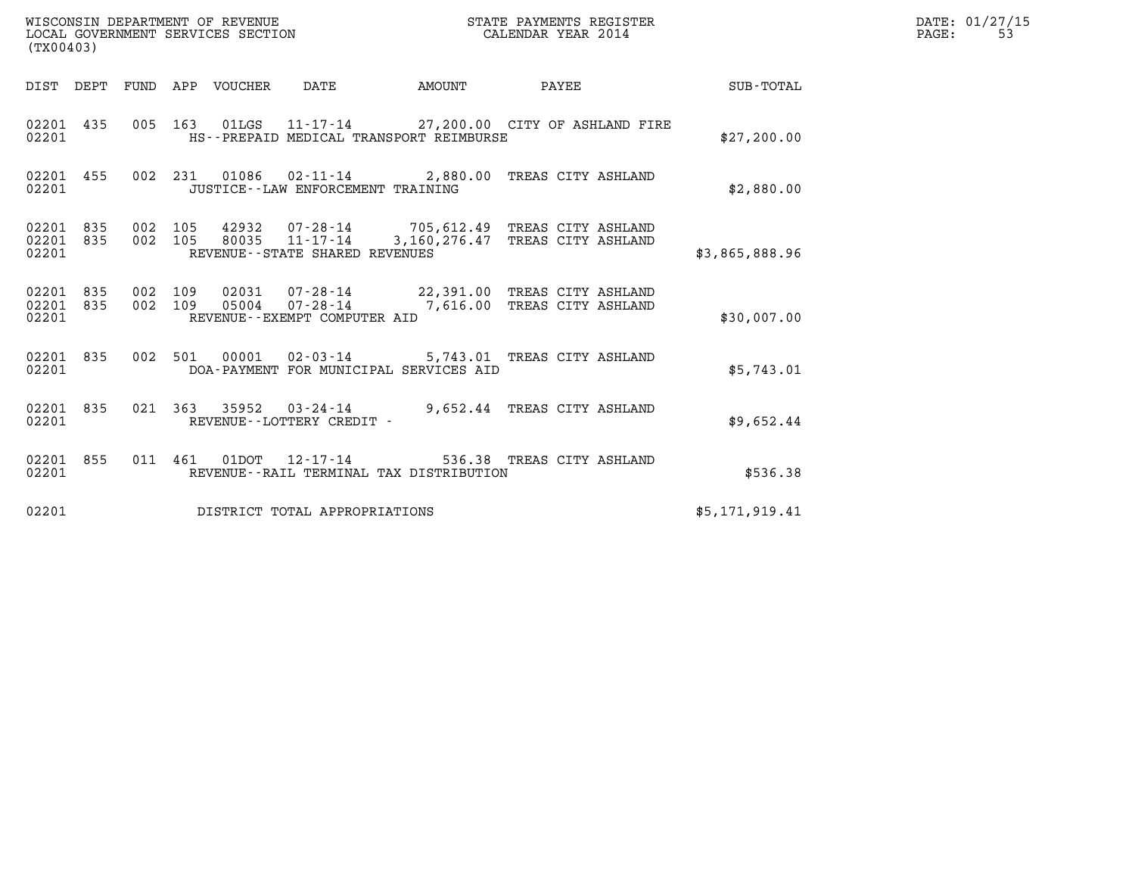| (TX00403) |                        |         |                                   | STATE PAYMENTS REGISTER                                                                                                  |  |  | DATE: 01/27/15<br>PAGE:<br>53 |  |
|-----------|------------------------|---------|-----------------------------------|--------------------------------------------------------------------------------------------------------------------------|--|--|-------------------------------|--|
|           |                        |         |                                   |                                                                                                                          |  |  | SUB-TOTAL                     |  |
| 02201     | 02201 435              |         |                                   | 005 163 01LGS 11-17-14 27,200.00 CITY OF ASHLAND FIRE<br>HS--PREPAID MEDICAL TRANSPORT REIMBURSE                         |  |  | \$27,200.00                   |  |
| 02201     | 02201 455              |         | JUSTICE--LAW ENFORCEMENT TRAINING | 002 231 01086 02-11-14 2,880.00 TREAS CITY ASHLAND                                                                       |  |  | \$2,880.00                    |  |
| 02201     | 02201 835              |         | REVENUE--STATE SHARED REVENUES    | 02201 835 002 105 42932 07-28-14 705,612.49 TREAS CITY ASHLAND<br>002 105 80035 11-17-14 3,160,276.47 TREAS CITY ASHLAND |  |  | \$3,865,888.96                |  |
| 02201     | 02201 835<br>02201 835 | 002 109 | REVENUE--EXEMPT COMPUTER AID      | 002 109 02031 07-28-14 22,391.00 TREAS CITY ASHLAND<br>05004  07-28-14  7,616.00 TREAS CITY ASHLAND                      |  |  | \$30,007.00                   |  |
| 02201     | 02201 835              |         |                                   | 002 501 00001 02-03-14 5,743.01 TREAS CITY ASHLAND<br>DOA-PAYMENT FOR MUNICIPAL SERVICES AID                             |  |  | \$5,743.01                    |  |
|           | 02201 835<br>02201     |         | REVENUE--LOTTERY CREDIT -         | 021  363  35952  03-24-14  9,652.44  TREAS CITY ASHLAND                                                                  |  |  | \$9,652.44                    |  |
| 02201     | 02201 855              |         |                                   | 011 461 01DOT 12-17-14 536.38 TREAS CITY ASHLAND<br>REVENUE--RAIL TERMINAL TAX DISTRIBUTION                              |  |  | \$536.38                      |  |
| 02201     |                        |         | DISTRICT TOTAL APPROPRIATIONS     |                                                                                                                          |  |  | \$5,171,919.41                |  |